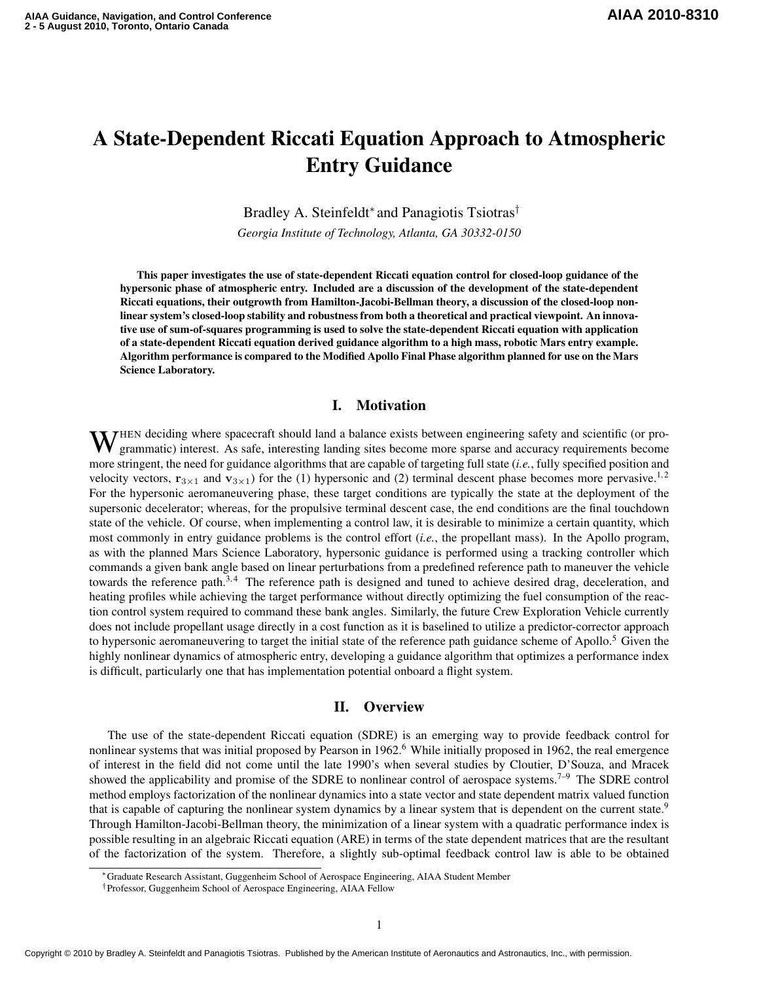# A State-Dependent Riccati Equation Approach to Atmospheric Entry Guidance

Bradley A. Steinfeldt<sup>∗</sup> and Panagiotis Tsiotras†

*Georgia Institute of Technology, Atlanta, GA 30332-0150*

This paper investigates the use of state-dependent Riccati equation control for closed-loop guidance of the hypersonic phase of atmospheric entry. Included are a discussion of the development of the state-dependent Riccati equations, their outgrowth from Hamilton-Jacobi-Bellman theory, a discussion of the closed-loop nonlinear system's closed-loop stability and robustness from both a theoretical and practical viewpoint. An innovative use of sum-of-squares programming is used to solve the state-dependent Riccati equation with application of a state-dependent Riccati equation derived guidance algorithm to a high mass, robotic Mars entry example. Algorithm performance is compared to the Modified Apollo Final Phase algorithm planned for use on the Mars Science Laboratory.

## I. Motivation

WHEN deciding where spacecraft should land a balance exists between engineering safety and scientific (or pro-<br>grammatic) interest. As safe, interesting landing sites to the landing grammatic) interest. As safe, interesting landing sites become more sparse and accuracy requirements become more stringent, the need for guidance algorithms that are capable of targeting full state (*i.e.*, fully specified position and velocity vectors,  $\mathbf{r}_{3\times1}$  and  $\mathbf{v}_{3\times1}$ ) for the (1) hypersonic and (2) terminal descent phase becomes more pervasive.<sup>1,2</sup> For the hypersonic aeromaneuvering phase, these target conditions are typically the state at the deployment of the supersonic decelerator; whereas, for the propulsive terminal descent case, the end conditions are the final touchdown state of the vehicle. Of course, when implementing a control law, it is desirable to minimize a certain quantity, which most commonly in entry guidance problems is the control effort (*i.e.*, the propellant mass). In the Apollo program, as with the planned Mars Science Laboratory, hypersonic guidance is performed using a tracking controller which commands a given bank angle based on linear perturbations from a predefined reference path to maneuver the vehicle towards the reference path.<sup>3,4</sup> The reference path is designed and tuned to achieve desired drag, deceleration, and heating profiles while achieving the target performance without directly optimizing the fuel consumption of the reaction control system required to command these bank angles. Similarly, the future Crew Exploration Vehicle currently does not include propellant usage directly in a cost function as it is baselined to utilize a predictor-corrector approach to hypersonic aeromaneuvering to target the initial state of the reference path guidance scheme of Apollo.<sup>5</sup> Given the highly nonlinear dynamics of atmospheric entry, developing a guidance algorithm that optimizes a performance index is difficult, particularly one that has implementation potential onboard a flight system.

## II. Overview

The use of the state-dependent Riccati equation (SDRE) is an emerging way to provide feedback control for nonlinear systems that was initial proposed by Pearson in 1962.<sup>6</sup> While initially proposed in 1962, the real emergence of interest in the field did not come until the late 1990's when several studies by Cloutier, D'Souza, and Mracek showed the applicability and promise of the SDRE to nonlinear control of aerospace systems.<sup>7-9</sup> The SDRE control method employs factorization of the nonlinear dynamics into a state vector and state dependent matrix valued function that is capable of capturing the nonlinear system dynamics by a linear system that is dependent on the current state.<sup>9</sup> Through Hamilton-Jacobi-Bellman theory, the minimization of a linear system with a quadratic performance index is possible resulting in an algebraic Riccati equation (ARE) in terms of the state dependent matrices that are the resultant of the factorization of the system. Therefore, a slightly sub-optimal feedback control law is able to be obtained

<sup>∗</sup>Graduate Research Assistant, Guggenheim School of Aerospace Engineering, AIAA Student Member

<sup>†</sup>Professor, Guggenheim School of Aerospace Engineering, AIAA Fellow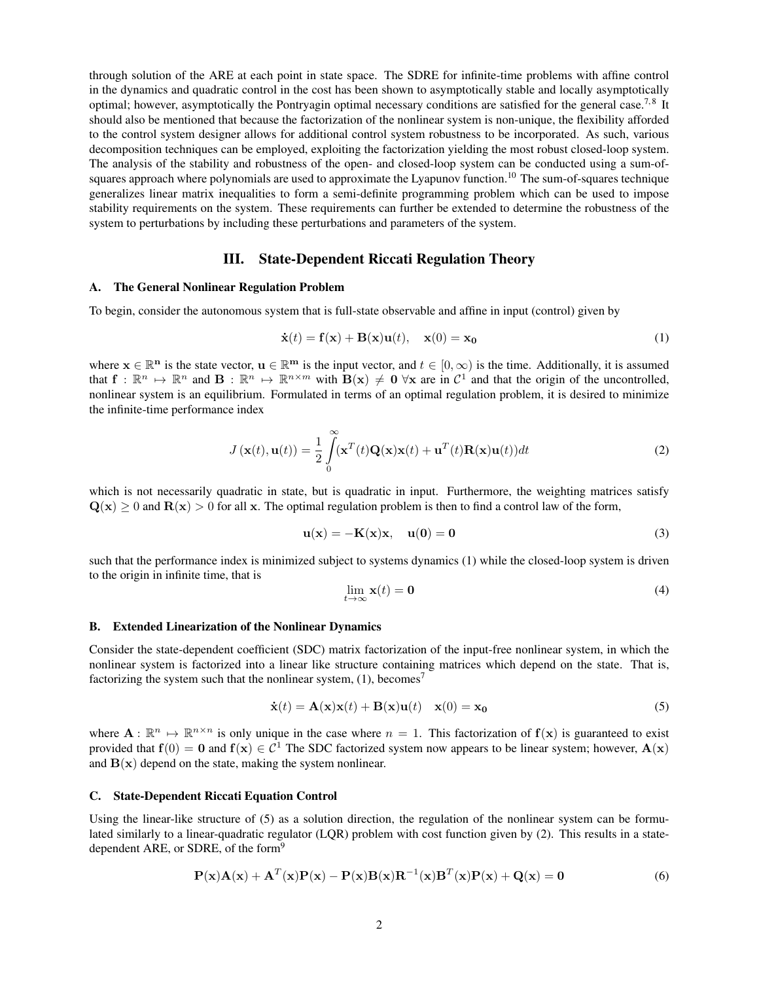through solution of the ARE at each point in state space. The SDRE for infinite-time problems with affine control in the dynamics and quadratic control in the cost has been shown to asymptotically stable and locally asymptotically optimal; however, asymptotically the Pontryagin optimal necessary conditions are satisfied for the general case.<sup>7,8</sup> It should also be mentioned that because the factorization of the nonlinear system is non-unique, the flexibility afforded to the control system designer allows for additional control system robustness to be incorporated. As such, various decomposition techniques can be employed, exploiting the factorization yielding the most robust closed-loop system. The analysis of the stability and robustness of the open- and closed-loop system can be conducted using a sum-ofsquares approach where polynomials are used to approximate the Lyapunov function.<sup>10</sup> The sum-of-squares technique generalizes linear matrix inequalities to form a semi-definite programming problem which can be used to impose stability requirements on the system. These requirements can further be extended to determine the robustness of the system to perturbations by including these perturbations and parameters of the system.

## III. State-Dependent Riccati Regulation Theory

#### A. The General Nonlinear Regulation Problem

To begin, consider the autonomous system that is full-state observable and affine in input (control) given by

$$
\dot{\mathbf{x}}(t) = \mathbf{f}(\mathbf{x}) + \mathbf{B}(\mathbf{x})\mathbf{u}(t), \quad \mathbf{x}(0) = \mathbf{x_0}
$$
 (1)

where  $\mathbf{x} \in \mathbb{R}^n$  is the state vector,  $\mathbf{u} \in \mathbb{R}^m$  is the input vector, and  $t \in [0, \infty)$  is the time. Additionally, it is assumed that  $f: \mathbb{R}^n \to \mathbb{R}^n$  and  $B: \mathbb{R}^n \to \mathbb{R}^{n \times m}$  with  $B(x) \neq 0$   $\forall x$  are in  $C^1$  and that the origin of the uncontrolled, nonlinear system is an equilibrium. Formulated in terms of an optimal regulation problem, it is desired to minimize the infinite-time performance index

$$
J(\mathbf{x}(t), \mathbf{u}(t)) = \frac{1}{2} \int_{0}^{\infty} (\mathbf{x}^{T}(t) \mathbf{Q}(\mathbf{x}) \mathbf{x}(t) + \mathbf{u}^{T}(t) \mathbf{R}(\mathbf{x}) \mathbf{u}(t)) dt
$$
 (2)

which is not necessarily quadratic in state, but is quadratic in input. Furthermore, the weighting matrices satisfy  $Q(x) > 0$  and  $R(x) > 0$  for all x. The optimal regulation problem is then to find a control law of the form,

$$
\mathbf{u}(\mathbf{x}) = -\mathbf{K}(\mathbf{x})\mathbf{x}, \quad \mathbf{u}(0) = \mathbf{0} \tag{3}
$$

such that the performance index is minimized subject to systems dynamics (1) while the closed-loop system is driven to the origin in infinite time, that is

$$
\lim_{t \to \infty} \mathbf{x}(t) = \mathbf{0} \tag{4}
$$

#### B. Extended Linearization of the Nonlinear Dynamics

Consider the state-dependent coefficient (SDC) matrix factorization of the input-free nonlinear system, in which the nonlinear system is factorized into a linear like structure containing matrices which depend on the state. That is, factorizing the system such that the nonlinear system,  $(1)$ , becomes<sup>7</sup>

$$
\dot{\mathbf{x}}(t) = \mathbf{A}(\mathbf{x})\mathbf{x}(t) + \mathbf{B}(\mathbf{x})\mathbf{u}(t) \quad \mathbf{x}(0) = \mathbf{x}_0 \tag{5}
$$

where  $A: \mathbb{R}^n \mapsto \mathbb{R}^{n \times n}$  is only unique in the case where  $n = 1$ . This factorization of  $f(x)$  is guaranteed to exist provided that  $f(0) = 0$  and  $f(x) \in C^1$  The SDC factorized system now appears to be linear system; however,  $A(x)$ and  $B(x)$  depend on the state, making the system nonlinear.

## C. State-Dependent Riccati Equation Control

Using the linear-like structure of (5) as a solution direction, the regulation of the nonlinear system can be formulated similarly to a linear-quadratic regulator (LQR) problem with cost function given by (2). This results in a statedependent ARE, or SDRE, of the form<sup>9</sup>

$$
\mathbf{P}(\mathbf{x})\mathbf{A}(\mathbf{x}) + \mathbf{A}^T(\mathbf{x})\mathbf{P}(\mathbf{x}) - \mathbf{P}(\mathbf{x})\mathbf{B}(\mathbf{x})\mathbf{R}^{-1}(\mathbf{x})\mathbf{B}^T(\mathbf{x})\mathbf{P}(\mathbf{x}) + \mathbf{Q}(\mathbf{x}) = \mathbf{0}
$$
\n(6)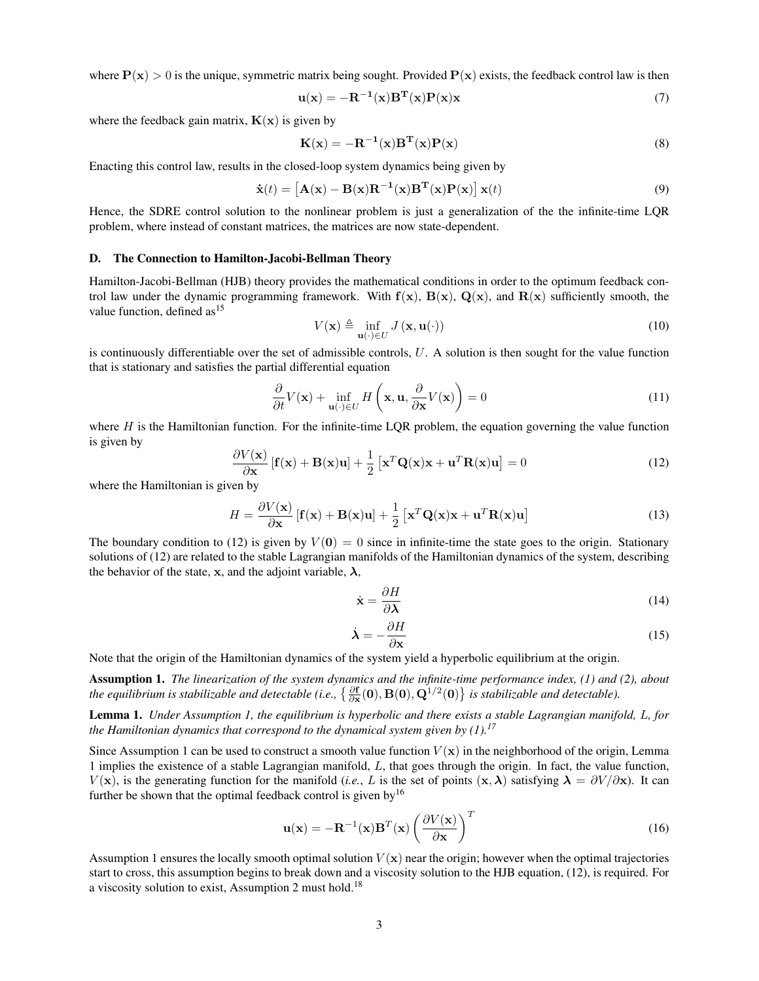where  $P(x) > 0$  is the unique, symmetric matrix being sought. Provided  $P(x)$  exists, the feedback control law is then

$$
\mathbf{u}(\mathbf{x}) = -\mathbf{R}^{-1}(\mathbf{x})\mathbf{B}^{\mathrm{T}}(\mathbf{x})\mathbf{P}(\mathbf{x})\mathbf{x}
$$
\n(7)

where the feedback gain matrix,  $K(x)$  is given by

$$
\mathbf{K}(\mathbf{x}) = -\mathbf{R}^{-1}(\mathbf{x})\mathbf{B}^{\mathrm{T}}(\mathbf{x})\mathbf{P}(\mathbf{x})
$$
\n(8)

Enacting this control law, results in the closed-loop system dynamics being given by

$$
\dot{\mathbf{x}}(t) = \left[\mathbf{A}(\mathbf{x}) - \mathbf{B}(\mathbf{x})\mathbf{R}^{-1}(\mathbf{x})\mathbf{B}^{\mathrm{T}}(\mathbf{x})\mathbf{P}(\mathbf{x})\right]\mathbf{x}(t)
$$
\n(9)

Hence, the SDRE control solution to the nonlinear problem is just a generalization of the the infinite-time LQR problem, where instead of constant matrices, the matrices are now state-dependent.

## D. The Connection to Hamilton-Jacobi-Bellman Theory

Hamilton-Jacobi-Bellman (HJB) theory provides the mathematical conditions in order to the optimum feedback control law under the dynamic programming framework. With  $f(x)$ ,  $B(x)$ ,  $Q(x)$ , and  $R(x)$  sufficiently smooth, the value function, defined  $as<sup>15</sup>$ 

$$
V(\mathbf{x}) \triangleq \inf_{\mathbf{u}(\cdot) \in U} J(\mathbf{x}, \mathbf{u}(\cdot))
$$
 (10)

is continuously differentiable over the set of admissible controls,  $U$ . A solution is then sought for the value function that is stationary and satisfies the partial differential equation

$$
\frac{\partial}{\partial t}V(\mathbf{x}) + \inf_{\mathbf{u}(\cdot) \in U} H\left(\mathbf{x}, \mathbf{u}, \frac{\partial}{\partial \mathbf{x}} V(\mathbf{x})\right) = 0
$$
\n(11)

where  $H$  is the Hamiltonian function. For the infinite-time LQR problem, the equation governing the value function is given by

$$
\frac{\partial V(\mathbf{x})}{\partial \mathbf{x}} \left[ \mathbf{f}(\mathbf{x}) + \mathbf{B}(\mathbf{x})\mathbf{u} \right] + \frac{1}{2} \left[ \mathbf{x}^T \mathbf{Q}(\mathbf{x}) \mathbf{x} + \mathbf{u}^T \mathbf{R}(\mathbf{x}) \mathbf{u} \right] = 0 \tag{12}
$$

where the Hamiltonian is given by

$$
H = \frac{\partial V(\mathbf{x})}{\partial \mathbf{x}} \left[ \mathbf{f}(\mathbf{x}) + \mathbf{B}(\mathbf{x})\mathbf{u} \right] + \frac{1}{2} \left[ \mathbf{x}^T \mathbf{Q}(\mathbf{x}) \mathbf{x} + \mathbf{u}^T \mathbf{R}(\mathbf{x}) \mathbf{u} \right]
$$
(13)

The boundary condition to (12) is given by  $V(0) = 0$  since in infinite-time the state goes to the origin. Stationary solutions of (12) are related to the stable Lagrangian manifolds of the Hamiltonian dynamics of the system, describing the behavior of the state, x, and the adjoint variable,  $\lambda$ ,

$$
\dot{\mathbf{x}} = \frac{\partial H}{\partial \lambda} \tag{14}
$$

$$
\dot{\lambda} = -\frac{\partial H}{\partial x} \tag{15}
$$

Note that the origin of the Hamiltonian dynamics of the system yield a hyperbolic equilibrium at the origin.

Assumption 1. *The linearization of the system dynamics and the infinite-time performance index, (1) and (2), about* the equilibrium is stabilizable and detectable (i.e.,  $\{\frac{\partial {\bf f}}{\partial {\bf x}}({\bf 0}),{\bf B}({\bf 0}),{\bf Q}^{1/2}({\bf 0})\}$  is stabilizable and detectable).

Lemma 1. *Under Assumption 1, the equilibrium is hyperbolic and there exists a stable Lagrangian manifold,* L*, for the Hamiltonian dynamics that correspond to the dynamical system given by (1).<sup>17</sup>*

Since Assumption 1 can be used to construct a smooth value function  $V(\mathbf{x})$  in the neighborhood of the origin, Lemma 1 implies the existence of a stable Lagrangian manifold, L, that goes through the origin. In fact, the value function,  $V(\mathbf{x})$ , is the generating function for the manifold (*i.e.*, L is the set of points  $(\mathbf{x}, \lambda)$  satisfying  $\lambda = \frac{\partial V}{\partial \mathbf{x}}$ ). It can further be shown that the optimal feedback control is given by<sup>16</sup>

$$
\mathbf{u}(\mathbf{x}) = -\mathbf{R}^{-1}(\mathbf{x})\mathbf{B}^{T}(\mathbf{x}) \left(\frac{\partial V(\mathbf{x})}{\partial \mathbf{x}}\right)^{T}
$$
(16)

Assumption 1 ensures the locally smooth optimal solution  $V(\mathbf{x})$  near the origin; however when the optimal trajectories start to cross, this assumption begins to break down and a viscosity solution to the HJB equation, (12), is required. For a viscosity solution to exist, Assumption 2 must hold.<sup>18</sup>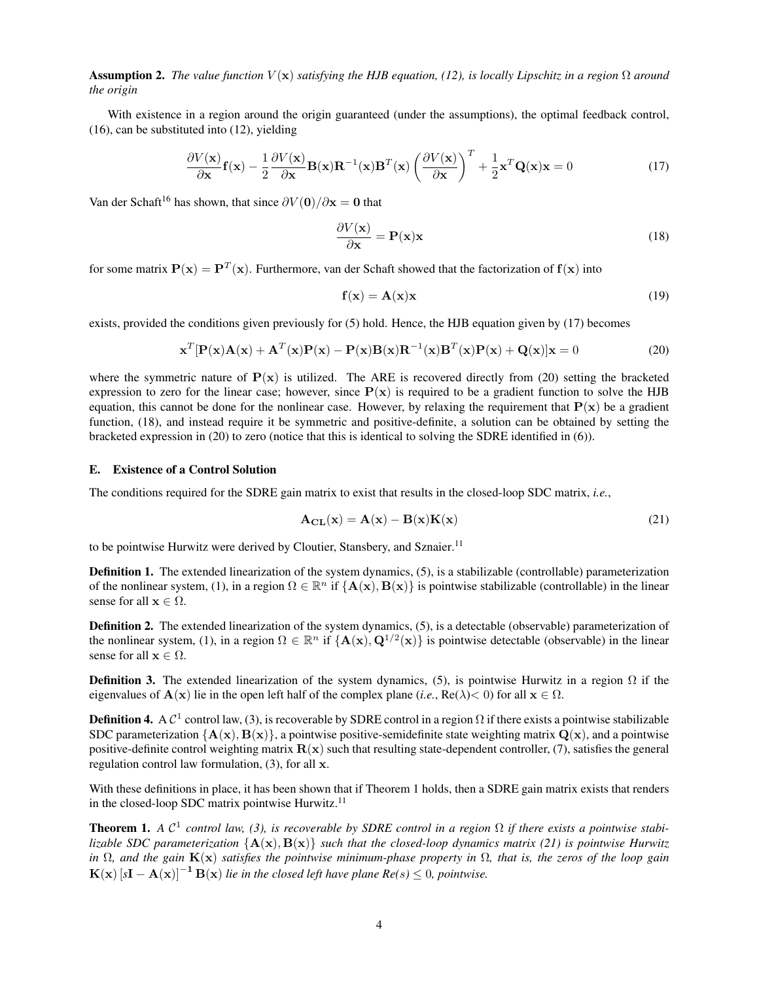**Assumption 2.** *The value function*  $V(\mathbf{x})$  *satisfying the HJB equation, (12), is locally Lipschitz in a region*  $\Omega$  *around the origin*

With existence in a region around the origin guaranteed (under the assumptions), the optimal feedback control, (16), can be substituted into (12), yielding

$$
\frac{\partial V(\mathbf{x})}{\partial \mathbf{x}} \mathbf{f}(\mathbf{x}) - \frac{1}{2} \frac{\partial V(\mathbf{x})}{\partial \mathbf{x}} \mathbf{B}(\mathbf{x}) \mathbf{R}^{-1}(\mathbf{x}) \mathbf{B}^T(\mathbf{x}) \left(\frac{\partial V(\mathbf{x})}{\partial \mathbf{x}}\right)^T + \frac{1}{2} \mathbf{x}^T \mathbf{Q}(\mathbf{x}) \mathbf{x} = 0 \tag{17}
$$

Van der Schaft<sup>16</sup> has shown, that since  $\partial V(\mathbf{0})/\partial \mathbf{x} = \mathbf{0}$  that

$$
\frac{\partial V(\mathbf{x})}{\partial \mathbf{x}} = \mathbf{P}(\mathbf{x})\mathbf{x}
$$
 (18)

for some matrix  $P(x) = P^T(x)$ . Furthermore, van der Schaft showed that the factorization of  $f(x)$  into

$$
\mathbf{f}(\mathbf{x}) = \mathbf{A}(\mathbf{x})\mathbf{x} \tag{19}
$$

exists, provided the conditions given previously for (5) hold. Hence, the HJB equation given by (17) becomes

$$
\mathbf{x}^{T}[\mathbf{P}(\mathbf{x})\mathbf{A}(\mathbf{x}) + \mathbf{A}^{T}(\mathbf{x})\mathbf{P}(\mathbf{x}) - \mathbf{P}(\mathbf{x})\mathbf{B}(\mathbf{x})\mathbf{R}^{-1}(\mathbf{x})\mathbf{B}^{T}(\mathbf{x})\mathbf{P}(\mathbf{x}) + \mathbf{Q}(\mathbf{x})]\mathbf{x} = 0
$$
\n(20)

where the symmetric nature of  $P(x)$  is utilized. The ARE is recovered directly from (20) setting the bracketed expression to zero for the linear case; however, since  $P(x)$  is required to be a gradient function to solve the HJB equation, this cannot be done for the nonlinear case. However, by relaxing the requirement that  $P(x)$  be a gradient function, (18), and instead require it be symmetric and positive-definite, a solution can be obtained by setting the bracketed expression in (20) to zero (notice that this is identical to solving the SDRE identified in (6)).

## E. Existence of a Control Solution

The conditions required for the SDRE gain matrix to exist that results in the closed-loop SDC matrix, *i.e.*,

$$
\mathbf{A}_{\mathbf{CL}}(\mathbf{x}) = \mathbf{A}(\mathbf{x}) - \mathbf{B}(\mathbf{x})\mathbf{K}(\mathbf{x})
$$
\n(21)

to be pointwise Hurwitz were derived by Cloutier, Stansbery, and Sznaier.<sup>11</sup>

Definition 1. The extended linearization of the system dynamics, (5), is a stabilizable (controllable) parameterization of the nonlinear system, (1), in a region  $\Omega \in \mathbb{R}^n$  if  $\{A(x), B(x)\}$  is pointwise stabilizable (controllable) in the linear sense for all  $\mathbf{x} \in \Omega$ .

Definition 2. The extended linearization of the system dynamics, (5), is a detectable (observable) parameterization of the nonlinear system, (1), in a region  $\Omega \in \mathbb{R}^n$  if  $\{A(x), Q^{1/2}(x)\}$  is pointwise detectable (observable) in the linear sense for all  $\mathbf{x} \in \Omega$ .

**Definition 3.** The extended linearization of the system dynamics, (5), is pointwise Hurwitz in a region  $\Omega$  if the eigenvalues of  $\mathbf{A}(\mathbf{x})$  lie in the open left half of the complex plane (*i.e.*,  $\text{Re}(\lambda) < 0$ ) for all  $\mathbf{x} \in \Omega$ .

**Definition 4.** A  $C^1$  control law, (3), is recoverable by SDRE control in a region  $\Omega$  if there exists a pointwise stabilizable SDC parameterization  ${A(x), B(x)}$ , a pointwise positive-semidefinite state weighting matrix  $Q(x)$ , and a pointwise positive-definite control weighting matrix  $\mathbf{R}(\mathbf{x})$  such that resulting state-dependent controller, (7), satisfies the general regulation control law formulation, (3), for all x.

With these definitions in place, it has been shown that if Theorem 1 holds, then a SDRE gain matrix exists that renders in the closed-loop SDC matrix pointwise Hurwitz.<sup>11</sup>

**Theorem 1.** A  $C^1$  control law, (3), is recoverable by SDRE control in a region  $\Omega$  if there exists a pointwise stabi*lizable SDC parameterization*  ${A(x), B(x)}$  *such that the closed-loop dynamics matrix (21) is pointwise Hurwitz in* Ω*, and the gain* K(x) *satisfies the pointwise minimum-phase property in* Ω*, that is, the zeros of the loop gain*  $K(x)$   $[sI - A(x)]^{-1} B(x)$  *lie in the closed left have plane Re(s)*  $\leq 0$ *, pointwise.*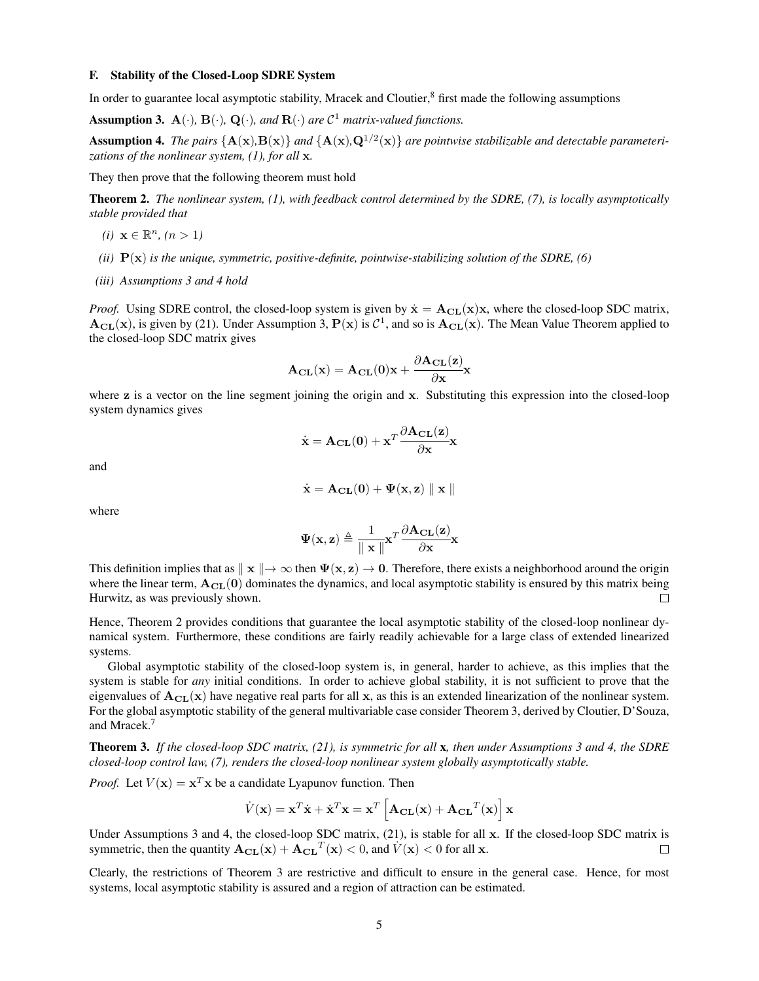#### F. Stability of the Closed-Loop SDRE System

In order to guarantee local asymptotic stability, Mracek and Cloutier, $\frac{8}{3}$  first made the following assumptions

**Assumption 3.**  $\mathbf{A}(\cdot)$ ,  $\mathbf{B}(\cdot)$ ,  $\mathbf{Q}(\cdot)$ , and  $\mathbf{R}(\cdot)$  are  $\mathcal{C}^1$  matrix-valued functions.

Assumption 4. The pairs  ${A(x), B(x)}$  and  ${A(x), Q^{1/2}(x)}$  are pointwise stabilizable and detectable parameteri*zations of the nonlinear system, (1), for all* x*.*

They then prove that the following theorem must hold

Theorem 2. *The nonlinear system, (1), with feedback control determined by the SDRE, (7), is locally asymptotically stable provided that*

- $(i)$  **x** ∈  $\mathbb{R}^n$ ,  $(n > 1)$
- *(ii)* P(x) *is the unique, symmetric, positive-definite, pointwise-stabilizing solution of the SDRE, (6)*
- *(iii) Assumptions 3 and 4 hold*

*Proof.* Using SDRE control, the closed-loop system is given by  $\dot{\mathbf{x}} = \mathbf{A_{CL}}(\mathbf{x})\mathbf{x}$ , where the closed-loop SDC matrix,  $A_{CL}(x)$ , is given by (21). Under Assumption 3,  $P(x)$  is  $C^1$ , and so is  $A_{CL}(x)$ . The Mean Value Theorem applied to the closed-loop SDC matrix gives

$$
\mathbf{A}_{\mathbf{CL}}(\mathbf{x}) = \mathbf{A}_{\mathbf{CL}}(\mathbf{0})\mathbf{x} + \frac{\partial \mathbf{A}_{\mathbf{CL}}(\mathbf{z})}{\partial \mathbf{x}}\mathbf{x}
$$

where z is a vector on the line segment joining the origin and x. Substituting this expression into the closed-loop system dynamics gives

$$
\dot{\mathbf{x}} = \mathbf{A}_{\mathbf{CL}}(\mathbf{0}) + \mathbf{x}^T \frac{\partial \mathbf{A}_{\mathbf{CL}}(\mathbf{z})}{\partial \mathbf{x}} \mathbf{x}
$$

and

$$
\dot{\mathbf{x}} = \mathbf{A}_{\mathbf{CL}}(\mathbf{0}) + \Psi(\mathbf{x}, \mathbf{z}) \parallel \mathbf{x} \parallel
$$

where

$$
\Psi(\mathbf{x}, \mathbf{z}) \triangleq \frac{1}{\|\mathbf{x}\|} \mathbf{x}^T \frac{\partial \mathbf{A_{CL}}(\mathbf{z})}{\partial \mathbf{x}} \mathbf{x}
$$

This definition implies that as  $\Vert x \Vert \to \infty$  then  $\Psi(x, z) \to 0$ . Therefore, there exists a neighborhood around the origin where the linear term,  $A_{CL}(0)$  dominates the dynamics, and local asymptotic stability is ensured by this matrix being Hurwitz, as was previously shown.  $\Box$ 

Hence, Theorem 2 provides conditions that guarantee the local asymptotic stability of the closed-loop nonlinear dynamical system. Furthermore, these conditions are fairly readily achievable for a large class of extended linearized systems.

Global asymptotic stability of the closed-loop system is, in general, harder to achieve, as this implies that the system is stable for *any* initial conditions. In order to achieve global stability, it is not sufficient to prove that the eigenvalues of  $A_{CL}(x)$  have negative real parts for all x, as this is an extended linearization of the nonlinear system. For the global asymptotic stability of the general multivariable case consider Theorem 3, derived by Cloutier, D'Souza, and Mracek.<sup>7</sup>

Theorem 3. *If the closed-loop SDC matrix, (21), is symmetric for all* x*, then under Assumptions 3 and 4, the SDRE closed-loop control law, (7), renders the closed-loop nonlinear system globally asymptotically stable.*

*Proof.* Let  $V(\mathbf{x}) = \mathbf{x}^T \mathbf{x}$  be a candidate Lyapunov function. Then

$$
\dot{V}(\mathbf{x}) = \mathbf{x}^T \dot{\mathbf{x}} + \dot{\mathbf{x}}^T \mathbf{x} = \mathbf{x}^T \left[ \mathbf{A}_{\mathbf{CL}}(\mathbf{x}) + \mathbf{A}_{\mathbf{CL}}^T(\mathbf{x}) \right] \mathbf{x}
$$

Under Assumptions 3 and 4, the closed-loop SDC matrix, (21), is stable for all x. If the closed-loop SDC matrix is symmetric, then the quantity  $\mathbf{A_{CL}}(\mathbf{x}) + \mathbf{A_{CL}}^T(\mathbf{x}) < 0$ , and  $V(\mathbf{x}) < 0$  for all x.  $\Box$ 

Clearly, the restrictions of Theorem 3 are restrictive and difficult to ensure in the general case. Hence, for most systems, local asymptotic stability is assured and a region of attraction can be estimated.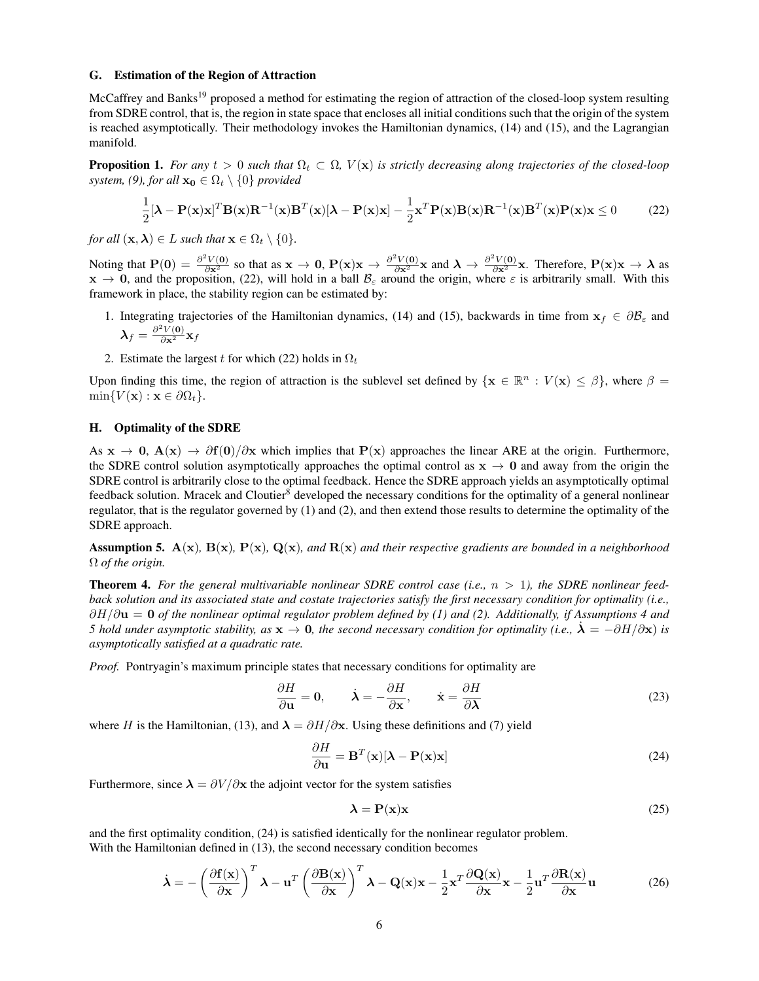#### G. Estimation of the Region of Attraction

McCaffrey and Banks<sup>19</sup> proposed a method for estimating the region of attraction of the closed-loop system resulting from SDRE control, that is, the region in state space that encloses all initial conditions such that the origin of the system is reached asymptotically. Their methodology invokes the Hamiltonian dynamics, (14) and (15), and the Lagrangian manifold.

**Proposition 1.** *For any*  $t > 0$  *such that*  $\Omega_t \subset \Omega$ ,  $V(\mathbf{x})$  *is strictly decreasing along trajectories of the closed-loop system, (9), for all*  $\mathbf{x_0} \in \Omega_t \setminus \{0\}$  *provided* 

$$
\frac{1}{2}[\boldsymbol{\lambda} - \mathbf{P}(\mathbf{x})\mathbf{x}]^T \mathbf{B}(\mathbf{x}) \mathbf{R}^{-1}(\mathbf{x}) \mathbf{B}^T(\mathbf{x}) [\boldsymbol{\lambda} - \mathbf{P}(\mathbf{x})\mathbf{x}] - \frac{1}{2} \mathbf{x}^T \mathbf{P}(\mathbf{x}) \mathbf{B}(\mathbf{x}) \mathbf{R}^{-1}(\mathbf{x}) \mathbf{B}^T(\mathbf{x}) \mathbf{P}(\mathbf{x}) \mathbf{x} \le 0 \tag{22}
$$

*for all*  $(\mathbf{x}, \lambda) \in L$  *such that*  $\mathbf{x} \in \Omega_t \setminus \{0\}$ *.* 

Noting that  $P(0) = \frac{\partial^2 V(0)}{\partial x^2}$  so that as  $x \to 0$ ,  $P(x)x \to \frac{\partial^2 V(0)}{\partial x^2}x$  and  $\lambda \to \frac{\partial^2 V(0)}{\partial x^2}x$ . Therefore,  $P(x)x \to \lambda$  as  $x \to 0$ , and the proposition, (22), will hold in a ball  $B_\varepsilon$  around the origin, where  $\varepsilon$  is arbitrarily small. With this framework in place, the stability region can be estimated by:

- 1. Integrating trajectories of the Hamiltonian dynamics, (14) and (15), backwards in time from  $x_f \in \partial \mathcal{B}_{\varepsilon}$  and  $\boldsymbol{\lambda}_f = \frac{\partial^2 V(\mathbf{0})}{\partial \mathbf{x}^2} \mathbf{x}_f$
- 2. Estimate the largest t for which (22) holds in  $\Omega_t$

Upon finding this time, the region of attraction is the sublevel set defined by  $\{x \in \mathbb{R}^n : V(x) \leq \beta\}$ , where  $\beta =$  $\min\{V(\mathbf{x}): \mathbf{x} \in \partial\Omega_t\}.$ 

## H. Optimality of the SDRE

As  $x \to 0$ ,  $A(x) \to \partial f(0)/\partial x$  which implies that  $P(x)$  approaches the linear ARE at the origin. Furthermore, the SDRE control solution asymptotically approaches the optimal control as  $x \to 0$  and away from the origin the SDRE control is arbitrarily close to the optimal feedback. Hence the SDRE approach yields an asymptotically optimal feedback solution. Mracek and Cloutier<sup>8</sup> developed the necessary conditions for the optimality of a general nonlinear regulator, that is the regulator governed by (1) and (2), and then extend those results to determine the optimality of the SDRE approach.

**Assumption 5.**  $A(x)$ ,  $B(x)$ ,  $P(x)$ ,  $Q(x)$ , and  $R(x)$  and their respective gradients are bounded in a neighborhood Ω *of the origin.*

Theorem 4. *For the general multivariable nonlinear SDRE control case (i.e.,* n > 1*), the SDRE nonlinear feedback solution and its associated state and costate trajectories satisfy the first necessary condition for optimality (i.e.,* ∂H/∂u = 0 *of the nonlinear optimal regulator problem defined by (1) and (2). Additionally, if Assumptions 4 and 5 hold under asymptotic stability, as*  $x \to 0$ , *the second necessary condition for optimality (i.e.,*  $\dot{\lambda} = -\partial H/\partial x$ ) *is asymptotically satisfied at a quadratic rate.*

*Proof.* Pontryagin's maximum principle states that necessary conditions for optimality are

$$
\frac{\partial H}{\partial \mathbf{u}} = \mathbf{0}, \qquad \dot{\boldsymbol{\lambda}} = -\frac{\partial H}{\partial \mathbf{x}}, \qquad \dot{\mathbf{x}} = \frac{\partial H}{\partial \boldsymbol{\lambda}}
$$
(23)

where H is the Hamiltonian, (13), and  $\lambda = \partial H/\partial x$ . Using these definitions and (7) yield

$$
\frac{\partial H}{\partial \mathbf{u}} = \mathbf{B}^T(\mathbf{x})[\boldsymbol{\lambda} - \mathbf{P}(\mathbf{x})\mathbf{x}]
$$
\n(24)

Furthermore, since  $\lambda = \partial V / \partial x$  the adjoint vector for the system satisfies

$$
\lambda = P(x)x \tag{25}
$$

and the first optimality condition, (24) is satisfied identically for the nonlinear regulator problem. With the Hamiltonian defined in (13), the second necessary condition becomes

$$
\dot{\lambda} = -\left(\frac{\partial \mathbf{f}(\mathbf{x})}{\partial \mathbf{x}}\right)^T \lambda - \mathbf{u}^T \left(\frac{\partial \mathbf{B}(\mathbf{x})}{\partial \mathbf{x}}\right)^T \lambda - \mathbf{Q}(\mathbf{x})\mathbf{x} - \frac{1}{2}\mathbf{x}^T \frac{\partial \mathbf{Q}(\mathbf{x})}{\partial \mathbf{x}}\mathbf{x} - \frac{1}{2}\mathbf{u}^T \frac{\partial \mathbf{R}(\mathbf{x})}{\partial \mathbf{x}}\mathbf{u}
$$
(26)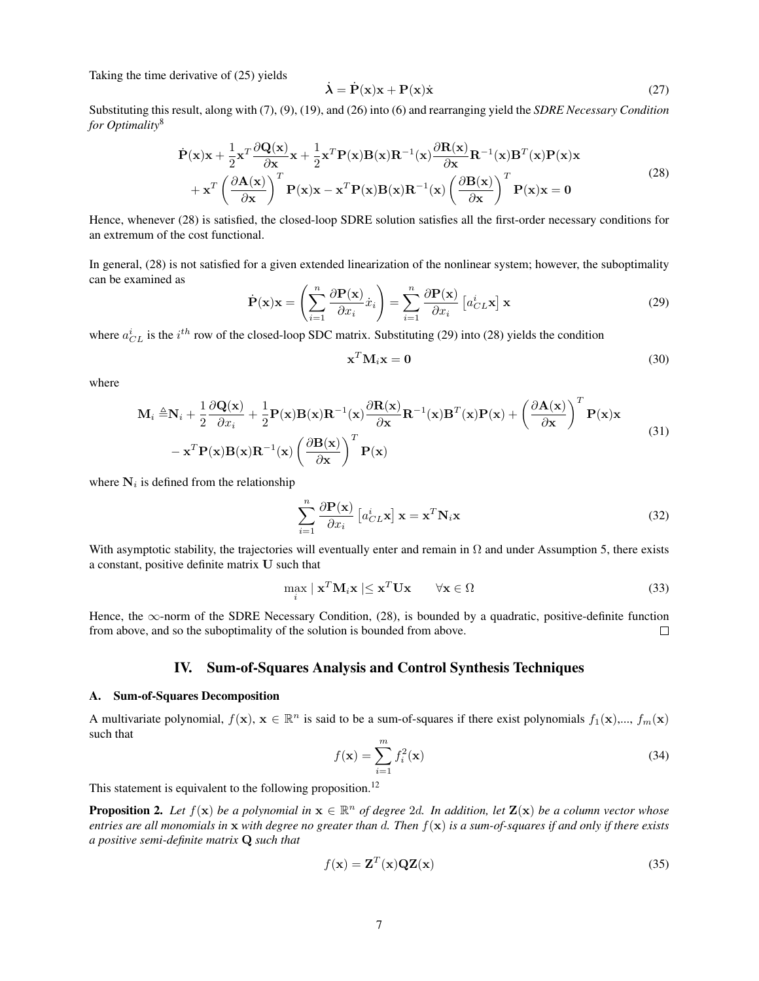Taking the time derivative of (25) yields

$$
\dot{\lambda} = \dot{P}(x)x + P(x)\dot{x}
$$
 (27)

Substituting this result, along with (7), (9), (19), and (26) into (6) and rearranging yield the *SDRE Necessary Condition for Optimality*<sup>8</sup>

$$
\dot{\mathbf{P}}(\mathbf{x})\mathbf{x} + \frac{1}{2}\mathbf{x}^T \frac{\partial \mathbf{Q}(\mathbf{x})}{\partial \mathbf{x}} \mathbf{x} + \frac{1}{2}\mathbf{x}^T \mathbf{P}(\mathbf{x}) \mathbf{B}(\mathbf{x}) \mathbf{R}^{-1}(\mathbf{x}) \frac{\partial \mathbf{R}(\mathbf{x})}{\partial \mathbf{x}} \mathbf{R}^{-1}(\mathbf{x}) \mathbf{B}^T(\mathbf{x}) \mathbf{P}(\mathbf{x}) \mathbf{x} + \mathbf{x}^T \left( \frac{\partial \mathbf{A}(\mathbf{x})}{\partial \mathbf{x}} \right)^T \mathbf{P}(\mathbf{x}) \mathbf{x} - \mathbf{x}^T \mathbf{P}(\mathbf{x}) \mathbf{B}(\mathbf{x}) \mathbf{R}^{-1}(\mathbf{x}) \left( \frac{\partial \mathbf{B}(\mathbf{x})}{\partial \mathbf{x}} \right)^T \mathbf{P}(\mathbf{x}) \mathbf{x} = \mathbf{0}
$$
\n(28)

Hence, whenever (28) is satisfied, the closed-loop SDRE solution satisfies all the first-order necessary conditions for an extremum of the cost functional.

In general, (28) is not satisfied for a given extended linearization of the nonlinear system; however, the suboptimality can be examined as

$$
\dot{\mathbf{P}}(\mathbf{x})\mathbf{x} = \left(\sum_{i=1}^{n} \frac{\partial \mathbf{P}(\mathbf{x})}{\partial x_i} \dot{x}_i\right) = \sum_{i=1}^{n} \frac{\partial \mathbf{P}(\mathbf{x})}{\partial x_i} \left[a_{CL}^{i} \mathbf{x}\right] \mathbf{x}
$$
(29)

where  $a_{CL}^i$  is the  $i^{th}$  row of the closed-loop SDC matrix. Substituting (29) into (28) yields the condition

$$
\mathbf{x}^T \mathbf{M}_i \mathbf{x} = \mathbf{0} \tag{30}
$$

where

$$
\mathbf{M}_{i} \triangleq \mathbf{N}_{i} + \frac{1}{2} \frac{\partial \mathbf{Q}(\mathbf{x})}{\partial x_{i}} + \frac{1}{2} \mathbf{P}(\mathbf{x}) \mathbf{B}(\mathbf{x}) \mathbf{R}^{-1}(\mathbf{x}) \frac{\partial \mathbf{R}(\mathbf{x})}{\partial \mathbf{x}} \mathbf{R}^{-1}(\mathbf{x}) \mathbf{B}^{T}(\mathbf{x}) \mathbf{P}(\mathbf{x}) + \left(\frac{\partial \mathbf{A}(\mathbf{x})}{\partial \mathbf{x}}\right)^{T} \mathbf{P}(\mathbf{x}) \mathbf{x} - \mathbf{x}^{T} \mathbf{P}(\mathbf{x}) \mathbf{B}(\mathbf{x}) \mathbf{R}^{-1}(\mathbf{x}) \left(\frac{\partial \mathbf{B}(\mathbf{x})}{\partial \mathbf{x}}\right)^{T} \mathbf{P}(\mathbf{x})
$$
\n(31)

where  $N_i$  is defined from the relationship

$$
\sum_{i=1}^{n} \frac{\partial \mathbf{P}(\mathbf{x})}{\partial x_i} \left[ a_{CL}^{i} \mathbf{x} \right] \mathbf{x} = \mathbf{x}^{T} \mathbf{N}_i \mathbf{x}
$$
\n(32)

With asymptotic stability, the trajectories will eventually enter and remain in  $\Omega$  and under Assumption 5, there exists a constant, positive definite matrix U such that

$$
\max_{i} \mid \mathbf{x}^{T} \mathbf{M}_{i} \mathbf{x} \mid \leq \mathbf{x}^{T} \mathbf{U} \mathbf{x} \qquad \forall \mathbf{x} \in \Omega
$$
\n(33)

Hence, the ∞-norm of the SDRE Necessary Condition, (28), is bounded by a quadratic, positive-definite function from above, and so the suboptimality of the solution is bounded from above.  $\Box$ 

## IV. Sum-of-Squares Analysis and Control Synthesis Techniques

## A. Sum-of-Squares Decomposition

A multivariate polynomial,  $f(\mathbf{x}), \mathbf{x} \in \mathbb{R}^n$  is said to be a sum-of-squares if there exist polynomials  $f_1(\mathbf{x}),..., f_m(\mathbf{x})$ such that

$$
f(\mathbf{x}) = \sum_{i=1}^{m} f_i^2(\mathbf{x})
$$
\n(34)

This statement is equivalent to the following proposition.<sup>12</sup>

**Proposition 2.** Let  $f(\mathbf{x})$  be a polynomial in  $\mathbf{x} \in \mathbb{R}^n$  of degree 2d. In addition, let  $\mathbf{Z}(\mathbf{x})$  be a column vector whose *entries are all monomials in* x *with degree no greater than* d*. Then* f(x) *is a sum-of-squares if and only if there exists a positive semi-definite matrix* Q *such that*

$$
f(\mathbf{x}) = \mathbf{Z}^T(\mathbf{x})\mathbf{Q}\mathbf{Z}(\mathbf{x})
$$
\n(35)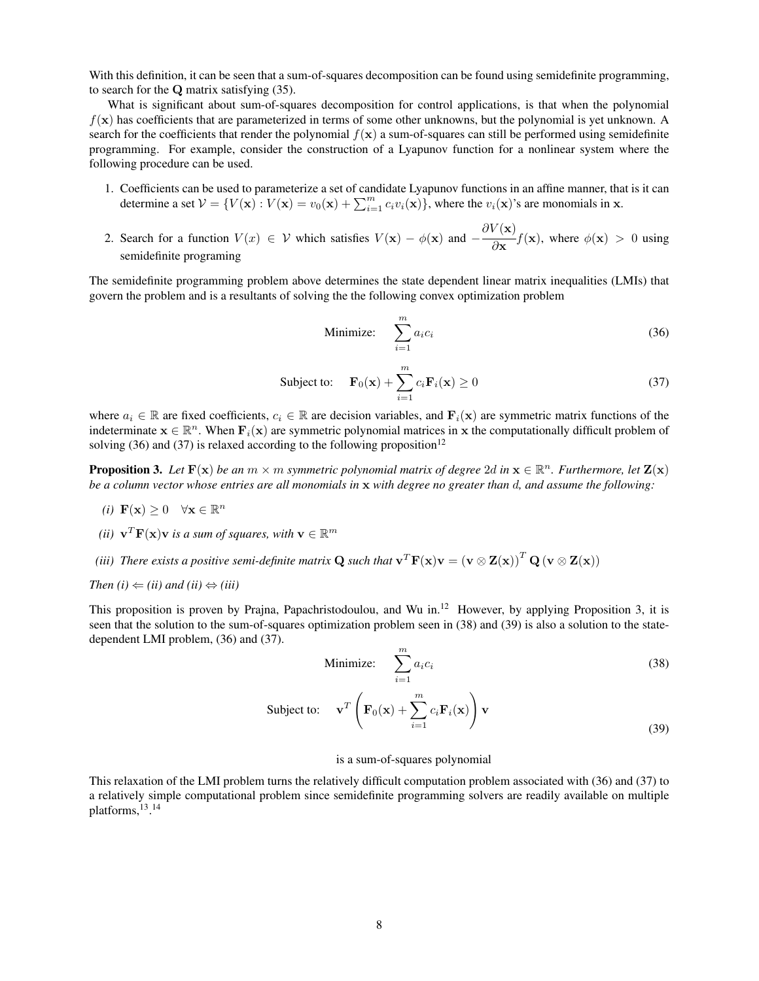With this definition, it can be seen that a sum-of-squares decomposition can be found using semidefinite programming, to search for the Q matrix satisfying (35).

What is significant about sum-of-squares decomposition for control applications, is that when the polynomial  $f(x)$  has coefficients that are parameterized in terms of some other unknowns, but the polynomial is yet unknown. A search for the coefficients that render the polynomial  $f(x)$  a sum-of-squares can still be performed using semidefinite programming. For example, consider the construction of a Lyapunov function for a nonlinear system where the following procedure can be used.

- 1. Coefficients can be used to parameterize a set of candidate Lyapunov functions in an affine manner, that is it can determine a set  $V = \{V(\mathbf{x}) : V(\mathbf{x}) = v_0(\mathbf{x}) + \sum_{i=1}^m c_i v_i(\mathbf{x})\}$ , where the  $v_i(\mathbf{x})$ 's are monomials in x.
- 2. Search for a function  $V(x) \in V$  which satisfies  $V(\mathbf{x}) \phi(\mathbf{x})$  and  $-\frac{\partial V(\mathbf{x})}{\partial \phi(\mathbf{x})}$  $\frac{\partial \mathbf{x}}{\partial \mathbf{x}}$  *f*(**x**), where  $\phi(\mathbf{x}) > 0$  using semidefinite programing

The semidefinite programming problem above determines the state dependent linear matrix inequalities (LMIs) that govern the problem and is a resultants of solving the the following convex optimization problem

Minimize: 
$$
\sum_{i=1}^{m} a_i c_i
$$
 (36)

Subject to: 
$$
\mathbf{F}_0(\mathbf{x}) + \sum_{i=1}^m c_i \mathbf{F}_i(\mathbf{x}) \ge 0
$$
 (37)

where  $a_i \in \mathbb{R}$  are fixed coefficients,  $c_i \in \mathbb{R}$  are decision variables, and  $\mathbf{F}_i(\mathbf{x})$  are symmetric matrix functions of the indeterminate  $x \in \mathbb{R}^n$ . When  $F_i(x)$  are symmetric polynomial matrices in x the computationally difficult problem of solving (36) and (37) is relaxed according to the following proposition<sup>12</sup>

**Proposition 3.** Let  $F(x)$  be an  $m \times m$  symmetric polynomial matrix of degree 2d in  $x \in \mathbb{R}^n$ . Furthermore, let  $\mathbf{Z}(x)$ *be a column vector whose entries are all monomials in* x *with degree no greater than* d*, and assume the following:*

- (*i*)  $\mathbf{F}(\mathbf{x}) \geq 0 \quad \forall \mathbf{x} \in \mathbb{R}^n$
- (*ii*)  $\mathbf{v}^T \mathbf{F}(\mathbf{x}) \mathbf{v}$  *is a sum of squares, with*  $\mathbf{v} \in \mathbb{R}^m$
- *(iii) There exists a positive semi-definite matrix*  ${\bf Q}$  *such that*  ${\bf v}^T{\bf F}({\bf x}){\bf v}=({\bf v}\otimes {\bf Z}({\bf x}))^T\,{\bf Q}\,({\bf v}\otimes {\bf Z}({\bf x}))$
- *Then*  $(i) \Leftarrow (ii)$  and  $(ii) \Leftrightarrow (iii)$

This proposition is proven by Prajna, Papachristodoulou, and Wu in.<sup>12</sup> However, by applying Proposition 3, it is seen that the solution to the sum-of-squares optimization problem seen in (38) and (39) is also a solution to the statedependent LMI problem, (36) and (37).

Minimize: 
$$
\sum_{i=1}^{m} a_i c_i
$$
 (38)

Subject to: 
$$
\mathbf{v}^T \left( \mathbf{F}_0(\mathbf{x}) + \sum_{i=1}^m c_i \mathbf{F}_i(\mathbf{x}) \right) \mathbf{v}
$$
 (39)

## is a sum-of-squares polynomial

This relaxation of the LMI problem turns the relatively difficult computation problem associated with (36) and (37) to a relatively simple computational problem since semidefinite programming solvers are readily available on multiple platforms,<sup>13</sup>.<sup>14</sup>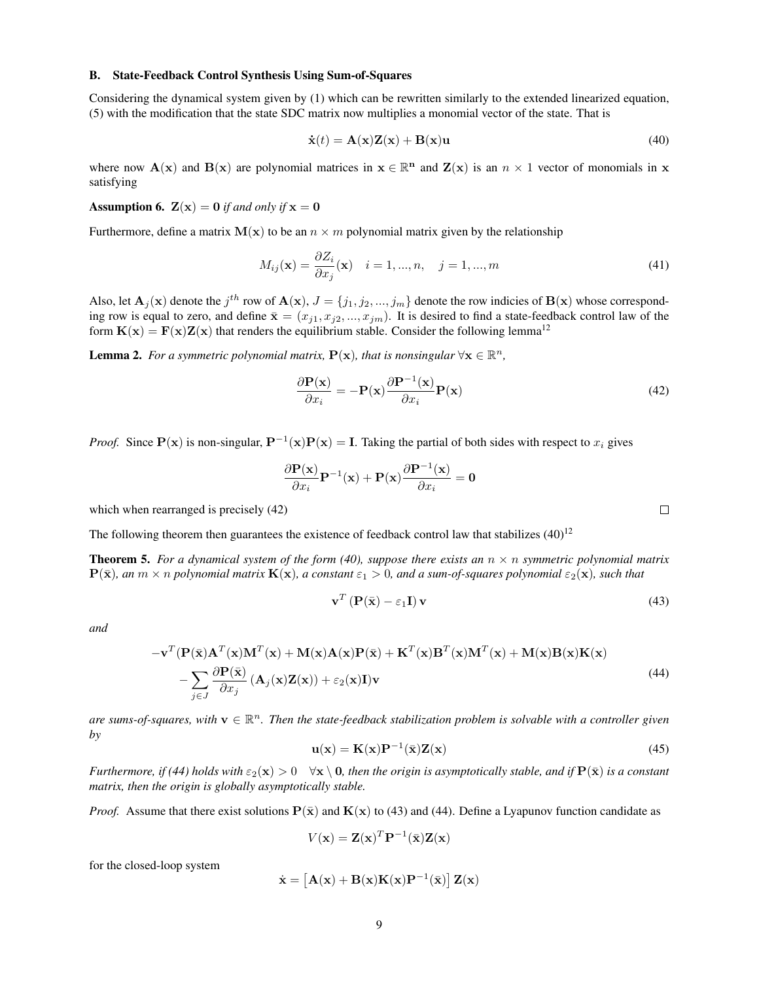## B. State-Feedback Control Synthesis Using Sum-of-Squares

Considering the dynamical system given by (1) which can be rewritten similarly to the extended linearized equation, (5) with the modification that the state SDC matrix now multiplies a monomial vector of the state. That is

$$
\dot{\mathbf{x}}(t) = \mathbf{A}(\mathbf{x})\mathbf{Z}(\mathbf{x}) + \mathbf{B}(\mathbf{x})\mathbf{u}
$$
\n(40)

where now  $\mathbf{A}(\mathbf{x})$  and  $\mathbf{B}(\mathbf{x})$  are polynomial matrices in  $\mathbf{x} \in \mathbb{R}^n$  and  $\mathbf{Z}(\mathbf{x})$  is an  $n \times 1$  vector of monomials in  $\mathbf{x}$ satisfying

**Assumption 6.**  $\mathbf{Z}(\mathbf{x}) = \mathbf{0}$  *if and only if*  $\mathbf{x} = \mathbf{0}$ 

Furthermore, define a matrix  $M(x)$  to be an  $n \times m$  polynomial matrix given by the relationship

$$
M_{ij}(\mathbf{x}) = \frac{\partial Z_i}{\partial x_j}(\mathbf{x}) \quad i = 1, \dots, n, \quad j = 1, \dots, m
$$
\n
$$
(41)
$$

Also, let  $A_j(x)$  denote the  $j^{th}$  row of  $A(x)$ ,  $J = \{j_1, j_2, ..., j_m\}$  denote the row indicies of  $B(x)$  whose corresponding row is equal to zero, and define  $\bar{\mathbf{x}} = (x_{j1}, x_{j2}, ..., x_{jm})$ . It is desired to find a state-feedback control law of the form  $\mathbf{K}(\mathbf{x}) = \mathbf{F}(\mathbf{x})\mathbf{Z}(\mathbf{x})$  that renders the equilibrium stable. Consider the following lemma<sup>12</sup>

**Lemma 2.** For a symmetric polynomial matrix,  $P(x)$ , that is nonsingular  $\forall x \in \mathbb{R}^n$ ,

$$
\frac{\partial \mathbf{P}(\mathbf{x})}{\partial x_i} = -\mathbf{P}(\mathbf{x}) \frac{\partial \mathbf{P}^{-1}(\mathbf{x})}{\partial x_i} \mathbf{P}(\mathbf{x})
$$
(42)

*Proof.* Since  $P(x)$  is non-singular,  $P^{-1}(x)P(x) = I$ . Taking the partial of both sides with respect to  $x_i$  gives

$$
\frac{\partial \mathbf{P}(\mathbf{x})}{\partial x_i} \mathbf{P}^{-1}(\mathbf{x}) + \mathbf{P}(\mathbf{x}) \frac{\partial \mathbf{P}^{-1}(\mathbf{x})}{\partial x_i} = \mathbf{0}
$$

which when rearranged is precisely (42)

The following theorem then guarantees the existence of feedback control law that stabilizes  $(40)^{12}$ 

**Theorem 5.** For a dynamical system of the form (40), suppose there exists an  $n \times n$  symmetric polynomial matrix  $P(\bar{x})$ *, an*  $m \times n$  *polynomial matrix*  $K(x)$ *, a constant*  $\varepsilon_1 > 0$ *, and a sum-of-squares polynomial*  $\varepsilon_2(x)$ *, such that* 

$$
\mathbf{v}^T \left( \mathbf{P}(\bar{\mathbf{x}}) - \varepsilon_1 \mathbf{I} \right) \mathbf{v}
$$
 (43)

*and*

$$
-v^{T}(\mathbf{P}(\bar{\mathbf{x}})\mathbf{A}^{T}(\mathbf{x})\mathbf{M}^{T}(\mathbf{x}) + \mathbf{M}(\mathbf{x})\mathbf{A}(\mathbf{x})\mathbf{P}(\bar{\mathbf{x}}) + \mathbf{K}^{T}(\mathbf{x})\mathbf{B}^{T}(\mathbf{x})\mathbf{M}^{T}(\mathbf{x}) + \mathbf{M}(\mathbf{x})\mathbf{B}(\mathbf{x})\mathbf{K}(\mathbf{x}) - \sum_{j\in J} \frac{\partial \mathbf{P}(\bar{\mathbf{x}})}{\partial x_{j}} (\mathbf{A}_{j}(\mathbf{x})\mathbf{Z}(\mathbf{x})) + \varepsilon_{2}(\mathbf{x})\mathbf{I})\mathbf{v}
$$
\n(44)

are sums-of-squares, with  $v \in \mathbb{R}^n$ . Then the state-feedback stabilization problem is solvable with a controller given *by*

$$
\mathbf{u}(\mathbf{x}) = \mathbf{K}(\mathbf{x})\mathbf{P}^{-1}(\bar{\mathbf{x}})\mathbf{Z}(\mathbf{x})
$$
\n(45)

*Furthermore, if (44) holds with*  $\varepsilon_2(\mathbf{x}) > 0 \quad \forall \mathbf{x} \setminus \mathbf{0}$ , then the origin is asymptotically stable, and if  $\mathbf{P}(\bar{\mathbf{x}})$  is a constant *matrix, then the origin is globally asymptotically stable.*

*Proof.* Assume that there exist solutions  $P(\bar{x})$  and  $K(x)$  to (43) and (44). Define a Lyapunov function candidate as

$$
V(\mathbf{x}) = \mathbf{Z}(\mathbf{x})^T \mathbf{P}^{-1}(\bar{\mathbf{x}}) \mathbf{Z}(\mathbf{x})
$$

for the closed-loop system

$$
\dot{\mathbf{x}} = \left[\mathbf{A}(\mathbf{x}) + \mathbf{B}(\mathbf{x})\mathbf{K}(\mathbf{x})\mathbf{P}^{-1}(\bar{\mathbf{x}})\right]\mathbf{Z}(\mathbf{x})
$$

 $\Box$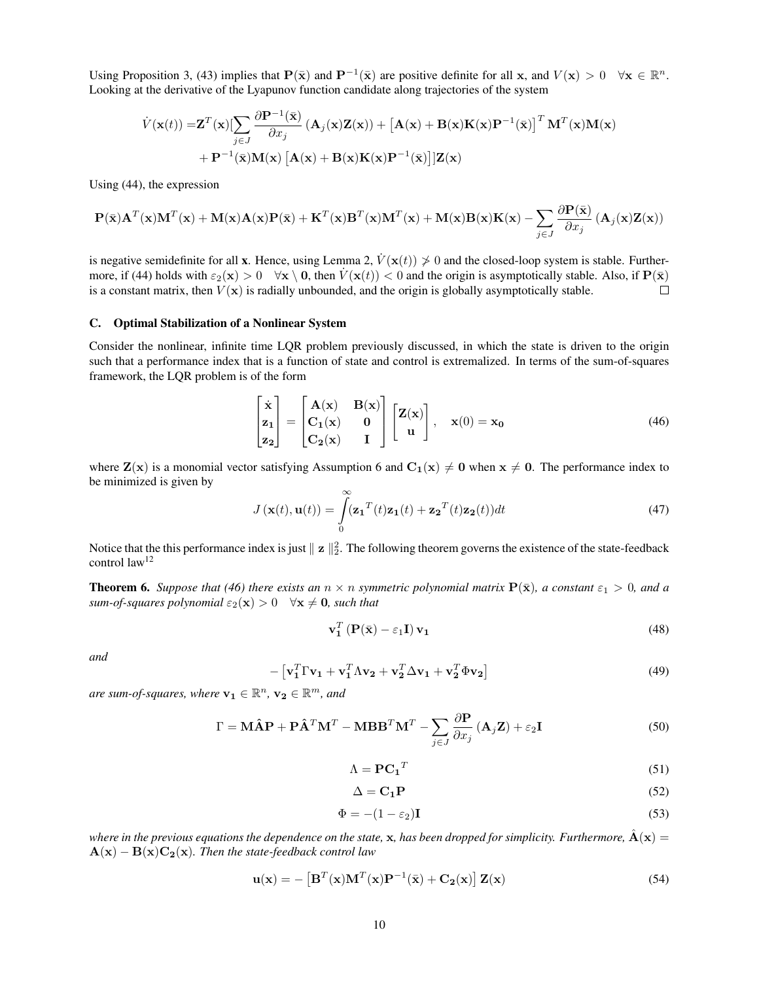Using Proposition 3, (43) implies that  $P(\bar{x})$  and  $P^{-1}(\bar{x})$  are positive definite for all x, and  $V(x) > 0 \quad \forall x \in \mathbb{R}^n$ . Looking at the derivative of the Lyapunov function candidate along trajectories of the system

$$
\dot{V}(\mathbf{x}(t)) = \mathbf{Z}^{T}(\mathbf{x}) \left[ \sum_{j \in J} \frac{\partial \mathbf{P}^{-1}(\bar{\mathbf{x}})}{\partial x_{j}} \left( \mathbf{A}_{j}(\mathbf{x}) \mathbf{Z}(\mathbf{x}) \right) + \left[ \mathbf{A}(\mathbf{x}) + \mathbf{B}(\mathbf{x}) \mathbf{K}(\mathbf{x}) \mathbf{P}^{-1}(\bar{\mathbf{x}}) \right]^{T} \mathbf{M}^{T}(\mathbf{x}) \mathbf{M}(\mathbf{x}) + \mathbf{P}^{-1}(\bar{\mathbf{x}}) \mathbf{M}(\mathbf{x}) \left[ \mathbf{A}(\mathbf{x}) + \mathbf{B}(\mathbf{x}) \mathbf{K}(\mathbf{x}) \mathbf{P}^{-1}(\bar{\mathbf{x}}) \right] \left[ \mathbf{Z}(\mathbf{x}) \right]
$$

Using (44), the expression

$$
\mathbf{P}(\bar{\mathbf{x}})\mathbf{A}^T(\mathbf{x})\mathbf{M}^T(\mathbf{x}) + \mathbf{M}(\mathbf{x})\mathbf{A}(\mathbf{x})\mathbf{P}(\bar{\mathbf{x}}) + \mathbf{K}^T(\mathbf{x})\mathbf{B}^T(\mathbf{x})\mathbf{M}^T(\mathbf{x}) + \mathbf{M}(\mathbf{x})\mathbf{B}(\mathbf{x})\mathbf{K}(\mathbf{x}) - \sum_{j \in J} \frac{\partial \mathbf{P}(\bar{\mathbf{x}})}{\partial x_j} \left(\mathbf{A}_j(\mathbf{x})\mathbf{Z}(\mathbf{x})\right)
$$

is negative semidefinite for all x. Hence, using Lemma 2,  $\dot{V}(\mathbf{x}(t)) \not\geq 0$  and the closed-loop system is stable. Furthermore, if (44) holds with  $\varepsilon_2(\mathbf{x}) > 0 \quad \forall \mathbf{x} \setminus \mathbf{0}$ , then  $V(\mathbf{x}(t)) < 0$  and the origin is asymptotically stable. Also, if  $\mathbf{P}(\bar{\mathbf{x}})$ is a constant matrix, then  $V(\mathbf{x})$  is radially unbounded, and the origin is globally asymptotically stable.  $\Box$ 

#### C. Optimal Stabilization of a Nonlinear System

Consider the nonlinear, infinite time LQR problem previously discussed, in which the state is driven to the origin such that a performance index that is a function of state and control is extremalized. In terms of the sum-of-squares framework, the LQR problem is of the form

$$
\begin{bmatrix} \dot{x} \\ z_1 \\ z_2 \end{bmatrix} = \begin{bmatrix} A(x) & B(x) \\ C_1(x) & 0 \\ C_2(x) & I \end{bmatrix} \begin{bmatrix} Z(x) \\ u \end{bmatrix}, \quad x(0) = x_0 \tag{46}
$$

where  $\mathbf{Z}(\mathbf{x})$  is a monomial vector satisfying Assumption 6 and  $\mathbf{C}_1(\mathbf{x}) \neq \mathbf{0}$  when  $\mathbf{x} \neq \mathbf{0}$ . The performance index to be minimized is given by

$$
J(\mathbf{x}(t), \mathbf{u}(t)) = \int_{0}^{\infty} (\mathbf{z_1}^T(t)\mathbf{z_1}(t) + \mathbf{z_2}^T(t)\mathbf{z_2}(t))dt
$$
 (47)

Notice that the this performance index is just  $||z||_2^2$ . The following theorem governs the existence of the state-feedback control law<sup>12</sup>

**Theorem 6.** *Suppose that* (46) there exists an  $n \times n$  *symmetric polynomial matrix*  $P(\bar{x})$ *, a constant*  $\varepsilon_1 > 0$ *, and a sum-of-squares polynomial*  $\varepsilon_2(\mathbf{x}) > 0 \quad \forall \mathbf{x} \neq \mathbf{0}$ *, such that* 

$$
\mathbf{v}_1^T \left( \mathbf{P}(\bar{\mathbf{x}}) - \varepsilon_1 \mathbf{I} \right) \mathbf{v}_1 \tag{48}
$$

*and*

$$
- \left[ \mathbf{v}_1^T \Gamma \mathbf{v}_1 + \mathbf{v}_1^T \Lambda \mathbf{v}_2 + \mathbf{v}_2^T \Delta \mathbf{v}_1 + \mathbf{v}_2^T \Phi \mathbf{v}_2 \right]
$$
 (49)

are sum-of-squares, where  $\mathbf{v_1} \in \mathbb{R}^n$ ,  $\mathbf{v_2} \in \mathbb{R}^m$ , and

$$
\Gamma = \mathbf{M}\hat{\mathbf{A}}\mathbf{P} + \mathbf{P}\hat{\mathbf{A}}^T\mathbf{M}^T - \mathbf{MBB}^T\mathbf{M}^T - \sum_{j \in J} \frac{\partial \mathbf{P}}{\partial x_j} \left(\mathbf{A}_j \mathbf{Z}\right) + \varepsilon_2 \mathbf{I}
$$
\n(50)

$$
\Lambda = \mathbf{PC_1}^T \tag{51}
$$

$$
\Delta = \mathbf{C_1 P} \tag{52}
$$

$$
\Phi = -(1 - \varepsilon_2) \mathbf{I} \tag{53}
$$

*where in the previous equations the dependence on the state,*  $x$ , has been dropped for simplicity. Furthermore,  $\hat{A}(x)$  =  $\mathbf{A}(\mathbf{x}) - \mathbf{B}(\mathbf{x})\mathbf{C}_2(\mathbf{x})$ *. Then the state-feedback control law* 

$$
\mathbf{u}(\mathbf{x}) = -\left[\mathbf{B}^T(\mathbf{x})\mathbf{M}^T(\mathbf{x})\mathbf{P}^{-1}(\bar{\mathbf{x}}) + \mathbf{C}_2(\mathbf{x})\right]\mathbf{Z}(\mathbf{x})\tag{54}
$$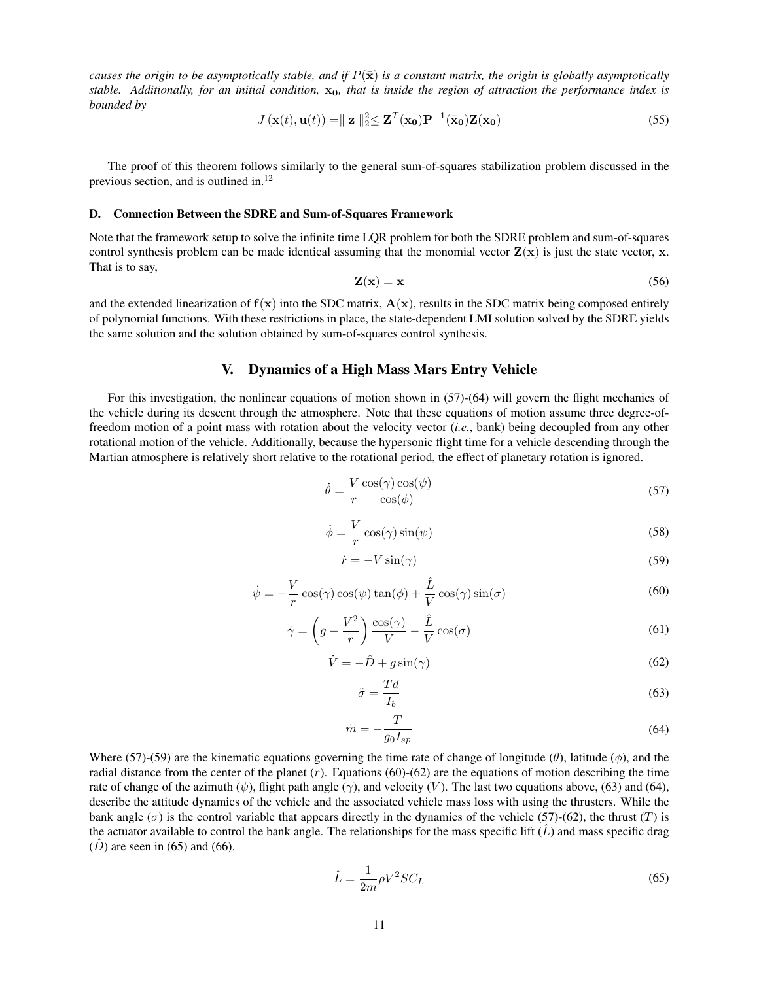*causes the origin to be asymptotically stable, and if*  $P(\bar{x})$  *is a constant matrix, the origin is globally asymptotically stable. Additionally, for an initial condition,* x0*, that is inside the region of attraction the performance index is bounded by*

$$
J\left(\mathbf{x}(t),\mathbf{u}(t)\right) = \parallel \mathbf{z} \parallel_{2}^{2} \leq \mathbf{Z}^{T}\left(\mathbf{x_{0}}\right)\mathbf{P}^{-1}(\bar{\mathbf{x}}_{0})\mathbf{Z}(\mathbf{x_{0}}) \tag{55}
$$

The proof of this theorem follows similarly to the general sum-of-squares stabilization problem discussed in the previous section, and is outlined in.<sup>12</sup>

#### D. Connection Between the SDRE and Sum-of-Squares Framework

Note that the framework setup to solve the infinite time LQR problem for both the SDRE problem and sum-of-squares control synthesis problem can be made identical assuming that the monomial vector  $\mathbf{Z}(\mathbf{x})$  is just the state vector, x. That is to say,

$$
\mathbf{Z}(\mathbf{x}) = \mathbf{x} \tag{56}
$$

and the extended linearization of  $f(x)$  into the SDC matrix,  $A(x)$ , results in the SDC matrix being composed entirely of polynomial functions. With these restrictions in place, the state-dependent LMI solution solved by the SDRE yields the same solution and the solution obtained by sum-of-squares control synthesis.

# V. Dynamics of a High Mass Mars Entry Vehicle

For this investigation, the nonlinear equations of motion shown in (57)-(64) will govern the flight mechanics of the vehicle during its descent through the atmosphere. Note that these equations of motion assume three degree-offreedom motion of a point mass with rotation about the velocity vector (*i.e.*, bank) being decoupled from any other rotational motion of the vehicle. Additionally, because the hypersonic flight time for a vehicle descending through the Martian atmosphere is relatively short relative to the rotational period, the effect of planetary rotation is ignored.

$$
\dot{\theta} = \frac{V}{r} \frac{\cos(\gamma) \cos(\psi)}{\cos(\phi)}\tag{57}
$$

$$
\dot{\phi} = \frac{V}{r} \cos(\gamma) \sin(\psi) \tag{58}
$$

$$
\dot{r} = -V\sin(\gamma) \tag{59}
$$

$$
\dot{\psi} = -\frac{V}{r}\cos(\gamma)\cos(\psi)\tan(\phi) + \frac{\hat{L}}{V}\cos(\gamma)\sin(\sigma)
$$
\n(60)

$$
\dot{\gamma} = \left(g - \frac{V^2}{r}\right) \frac{\cos(\gamma)}{V} - \frac{\hat{L}}{V} \cos(\sigma) \tag{61}
$$

$$
\dot{V} = -\hat{D} + g\sin(\gamma) \tag{62}
$$

$$
\ddot{\sigma} = \frac{Td}{I_b} \tag{63}
$$

$$
\dot{m} = -\frac{T}{g_0 I_{sp}}\tag{64}
$$

Where (57)-(59) are the kinematic equations governing the time rate of change of longitude ( $\theta$ ), latitude ( $\phi$ ), and the radial distance from the center of the planet  $(r)$ . Equations (60)-(62) are the equations of motion describing the time rate of change of the azimuth  $(\psi)$ , flight path angle  $(\gamma)$ , and velocity  $(V)$ . The last two equations above, (63) and (64), describe the attitude dynamics of the vehicle and the associated vehicle mass loss with using the thrusters. While the bank angle  $(\sigma)$  is the control variable that appears directly in the dynamics of the vehicle (57)-(62), the thrust (T) is the actuator available to control the bank angle. The relationships for the mass specific lift  $(\hat{L})$  and mass specific drag  $(D)$  are seen in (65) and (66).

$$
\hat{L} = \frac{1}{2m} \rho V^2 S C_L \tag{65}
$$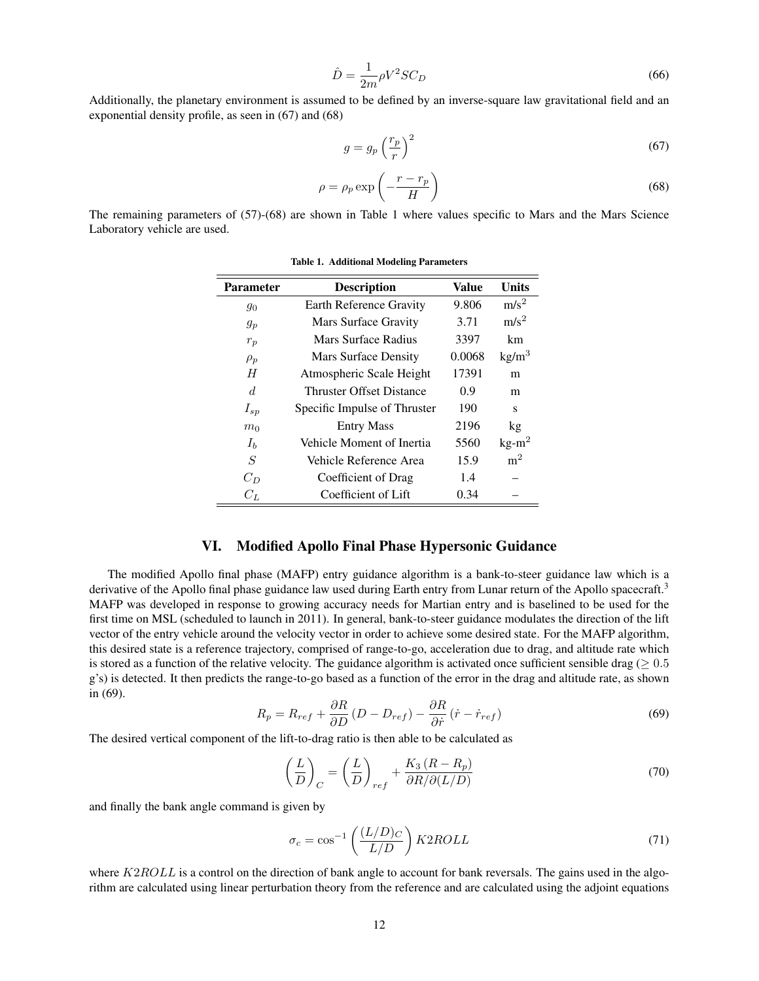$$
\hat{D} = \frac{1}{2m} \rho V^2 S C_D \tag{66}
$$

Additionally, the planetary environment is assumed to be defined by an inverse-square law gravitational field and an exponential density profile, as seen in (67) and (68)

$$
g = g_p \left(\frac{r_p}{r}\right)^2 \tag{67}
$$

$$
\rho = \rho_p \exp\left(-\frac{r - r_p}{H}\right) \tag{68}
$$

The remaining parameters of (57)-(68) are shown in Table 1 where values specific to Mars and the Mars Science Laboratory vehicle are used.

| <b>Parameter</b> | <b>Description</b>              | Value  | <b>Units</b>      |
|------------------|---------------------------------|--------|-------------------|
| 90               | Earth Reference Gravity         | 9.806  | $m/s^2$           |
| $g_p$            | Mars Surface Gravity            | 3.71   | m/s <sup>2</sup>  |
| $r_p$            | Mars Surface Radius             | 3397   | km                |
| $\rho_p$         | Mars Surface Density            | 0.0068 | kg/m <sup>3</sup> |
| H                | Atmospheric Scale Height        | 17391  | m                 |
| d                | <b>Thruster Offset Distance</b> | 0.9    | m                 |
| $I_{sp}$         | Specific Impulse of Thruster    | 190    | s                 |
| m <sub>0</sub>   | <b>Entry Mass</b>               | 2196   | kg                |
| $I_b$            | Vehicle Moment of Inertia       | 5560   | $kg-m2$           |
| S                | Vehicle Reference Area          | 15.9   | m <sup>2</sup>    |
| $C_D$            | Coefficient of Drag             | 1.4    |                   |
| $C_L$            | Coefficient of Lift             | 0.34   |                   |

Table 1. Additional Modeling Parameters

## VI. Modified Apollo Final Phase Hypersonic Guidance

The modified Apollo final phase (MAFP) entry guidance algorithm is a bank-to-steer guidance law which is a derivative of the Apollo final phase guidance law used during Earth entry from Lunar return of the Apollo spacecraft.<sup>3</sup> MAFP was developed in response to growing accuracy needs for Martian entry and is baselined to be used for the first time on MSL (scheduled to launch in 2011). In general, bank-to-steer guidance modulates the direction of the lift vector of the entry vehicle around the velocity vector in order to achieve some desired state. For the MAFP algorithm, this desired state is a reference trajectory, comprised of range-to-go, acceleration due to drag, and altitude rate which is stored as a function of the relative velocity. The guidance algorithm is activated once sufficient sensible drag ( $\geq 0.5$ ) g's) is detected. It then predicts the range-to-go based as a function of the error in the drag and altitude rate, as shown in (69).

$$
R_p = R_{ref} + \frac{\partial R}{\partial D} (D - D_{ref}) - \frac{\partial R}{\partial \dot{r}} (\dot{r} - \dot{r}_{ref})
$$
(69)

The desired vertical component of the lift-to-drag ratio is then able to be calculated as

$$
\left(\frac{L}{D}\right)_C = \left(\frac{L}{D}\right)_{ref} + \frac{K_3\left(R - R_p\right)}{\partial R/\partial(L/D)}
$$
\n(70)

and finally the bank angle command is given by

$$
\sigma_c = \cos^{-1}\left(\frac{(L/D)_C}{L/D}\right) K2ROLL \tag{71}
$$

where  $K2ROLL$  is a control on the direction of bank angle to account for bank reversals. The gains used in the algorithm are calculated using linear perturbation theory from the reference and are calculated using the adjoint equations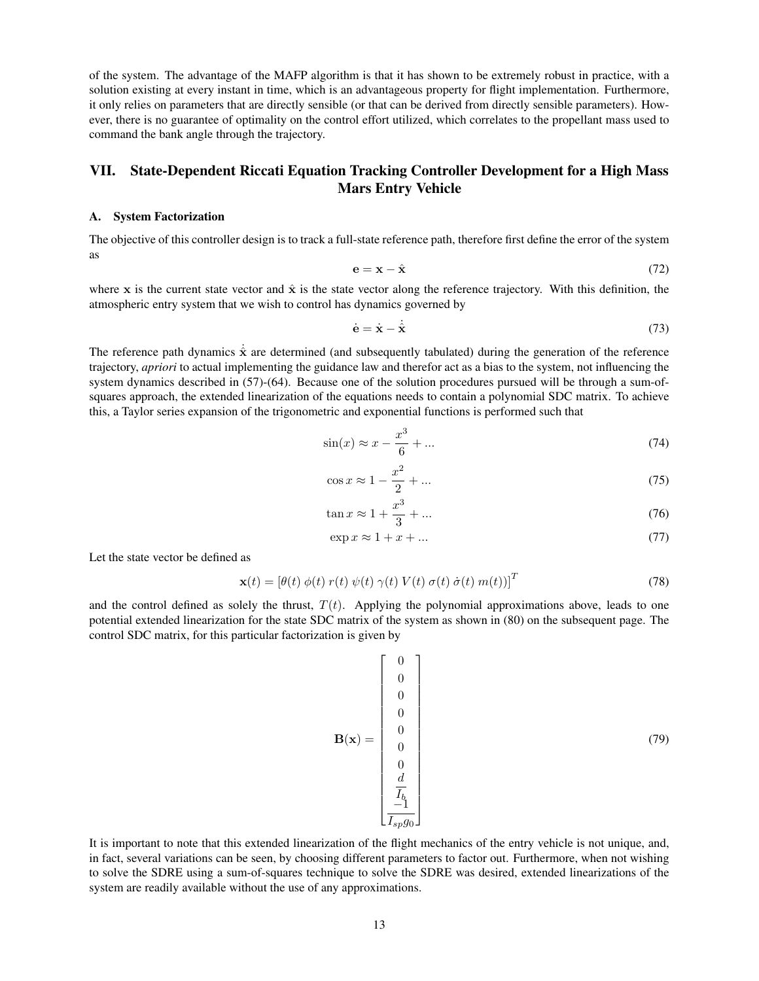of the system. The advantage of the MAFP algorithm is that it has shown to be extremely robust in practice, with a solution existing at every instant in time, which is an advantageous property for flight implementation. Furthermore, it only relies on parameters that are directly sensible (or that can be derived from directly sensible parameters). However, there is no guarantee of optimality on the control effort utilized, which correlates to the propellant mass used to command the bank angle through the trajectory.

# VII. State-Dependent Riccati Equation Tracking Controller Development for a High Mass Mars Entry Vehicle

#### A. System Factorization

The objective of this controller design is to track a full-state reference path, therefore first define the error of the system as

$$
\mathbf{e} = \mathbf{x} - \hat{\mathbf{x}} \tag{72}
$$

where x is the current state vector and  $\hat{x}$  is the state vector along the reference trajectory. With this definition, the atmospheric entry system that we wish to control has dynamics governed by

$$
\dot{\mathbf{e}} = \dot{\mathbf{x}} - \dot{\hat{\mathbf{x}}}\tag{73}
$$

The reference path dynamics  $\hat{x}$  are determined (and subsequently tabulated) during the generation of the reference trajectory, *apriori* to actual implementing the guidance law and therefor act as a bias to the system, not influencing the system dynamics described in (57)-(64). Because one of the solution procedures pursued will be through a sum-ofsquares approach, the extended linearization of the equations needs to contain a polynomial SDC matrix. To achieve this, a Taylor series expansion of the trigonometric and exponential functions is performed such that

$$
\sin(x) \approx x - \frac{x^3}{6} + \dots \tag{74}
$$

$$
\cos x \approx 1 - \frac{x^2}{2} + \dots \tag{75}
$$

$$
\tan x \approx 1 + \frac{x^3}{3} + \dots \tag{76}
$$

$$
\exp x \approx 1 + x + \dots \tag{77}
$$

Let the state vector be defined as

$$
\mathbf{x}(t) = \left[\theta(t) \; \phi(t) \; r(t) \; \psi(t) \; \gamma(t) \; V(t) \; \sigma(t) \; \dot{\sigma}(t) \; m(t))\right]^T \tag{78}
$$

and the control defined as solely the thrust,  $T(t)$ . Applying the polynomial approximations above, leads to one potential extended linearization for the state SDC matrix of the system as shown in (80) on the subsequent page. The control SDC matrix, for this particular factorization is given by

B(x) = 0 0 0 0 0 0 0 d Ib −1 Ispg<sup>0</sup> (79)

It is important to note that this extended linearization of the flight mechanics of the entry vehicle is not unique, and, in fact, several variations can be seen, by choosing different parameters to factor out. Furthermore, when not wishing to solve the SDRE using a sum-of-squares technique to solve the SDRE was desired, extended linearizations of the system are readily available without the use of any approximations.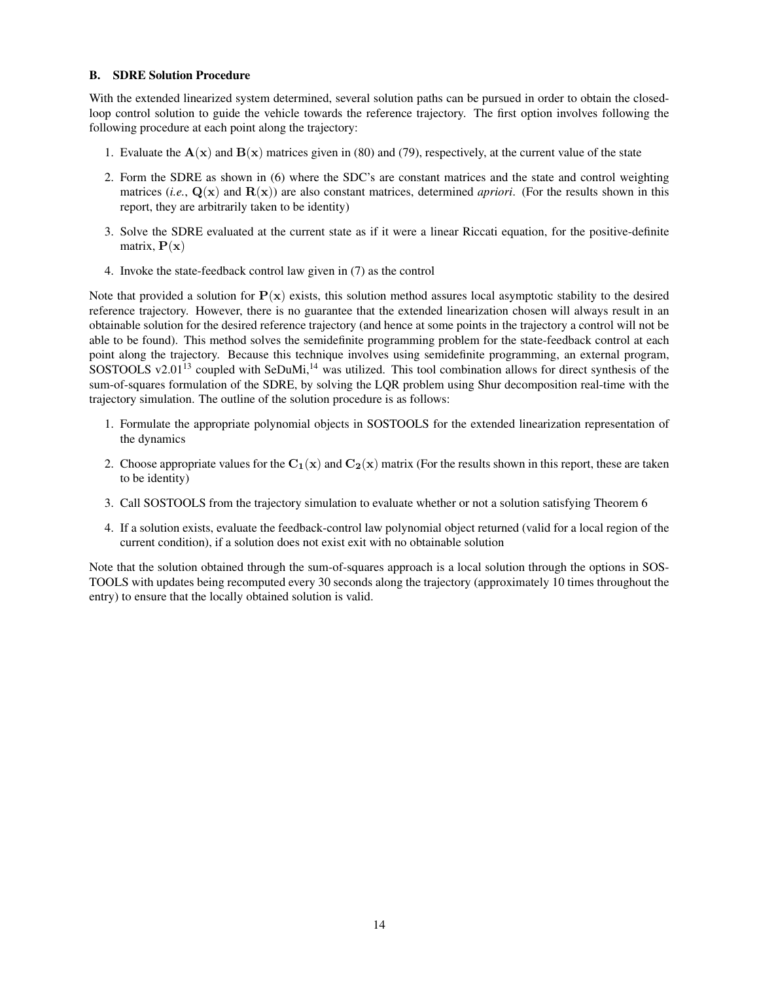## B. SDRE Solution Procedure

With the extended linearized system determined, several solution paths can be pursued in order to obtain the closedloop control solution to guide the vehicle towards the reference trajectory. The first option involves following the following procedure at each point along the trajectory:

- 1. Evaluate the  $A(x)$  and  $B(x)$  matrices given in (80) and (79), respectively, at the current value of the state
- 2. Form the SDRE as shown in (6) where the SDC's are constant matrices and the state and control weighting matrices (*i.e.*,  $Q(x)$  and  $R(x)$ ) are also constant matrices, determined *apriori*. (For the results shown in this report, they are arbitrarily taken to be identity)
- 3. Solve the SDRE evaluated at the current state as if it were a linear Riccati equation, for the positive-definite matrix,  $P(x)$
- 4. Invoke the state-feedback control law given in (7) as the control

Note that provided a solution for  $P(x)$  exists, this solution method assures local asymptotic stability to the desired reference trajectory. However, there is no guarantee that the extended linearization chosen will always result in an obtainable solution for the desired reference trajectory (and hence at some points in the trajectory a control will not be able to be found). This method solves the semidefinite programming problem for the state-feedback control at each point along the trajectory. Because this technique involves using semidefinite programming, an external program, SOSTOOLS v2.01<sup>13</sup> coupled with SeDuMi,<sup>14</sup> was utilized. This tool combination allows for direct synthesis of the sum-of-squares formulation of the SDRE, by solving the LQR problem using Shur decomposition real-time with the trajectory simulation. The outline of the solution procedure is as follows:

- 1. Formulate the appropriate polynomial objects in SOSTOOLS for the extended linearization representation of the dynamics
- 2. Choose appropriate values for the  $C_1(x)$  and  $C_2(x)$  matrix (For the results shown in this report, these are taken to be identity)
- 3. Call SOSTOOLS from the trajectory simulation to evaluate whether or not a solution satisfying Theorem 6
- 4. If a solution exists, evaluate the feedback-control law polynomial object returned (valid for a local region of the current condition), if a solution does not exist exit with no obtainable solution

Note that the solution obtained through the sum-of-squares approach is a local solution through the options in SOS-TOOLS with updates being recomputed every 30 seconds along the trajectory (approximately 10 times throughout the entry) to ensure that the locally obtained solution is valid.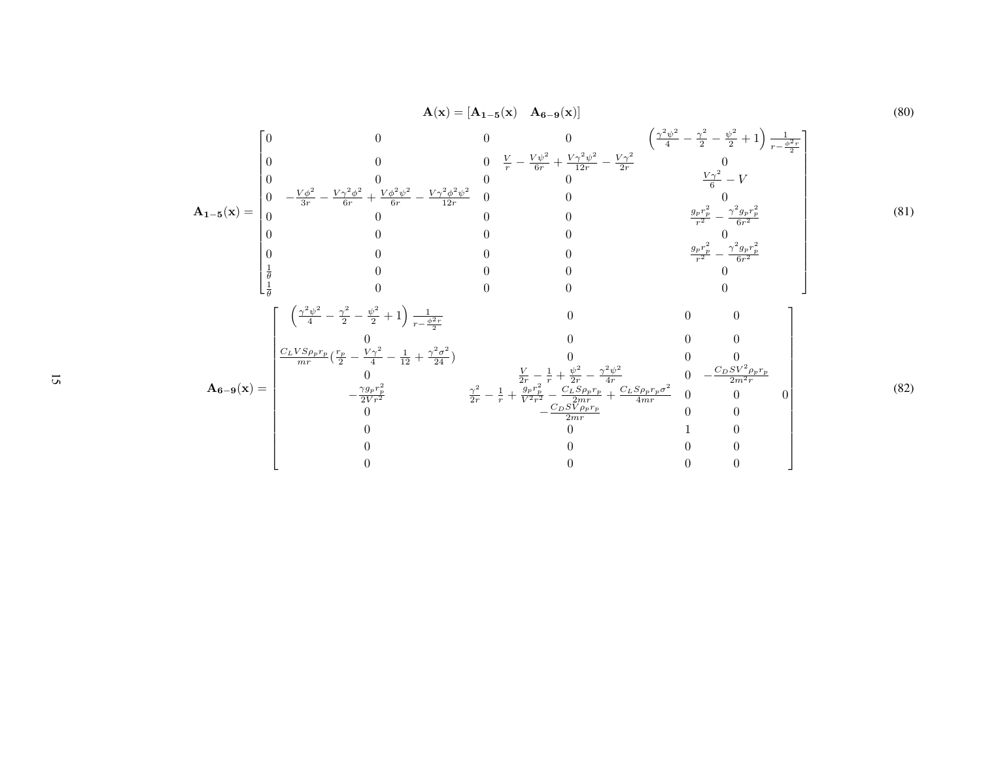$$
A(x) = [A_{1-5}(x) A_{6-9}(x)]
$$
\n(80)  
\n
$$
A_{1-5}(x) =\begin{bmatrix}\n0 & 0 & 0 & 0 & \sqrt{2}y^2 + \sqrt{2}y^2 - \sqrt{2}y^2 + 1 & \frac{1}{2}y^2 - \sqrt{2}y^2 - 1 \\
0 & 0 & 0 & \sqrt{2}y^2 - \sqrt{2}y^2 - \sqrt{2}y^2 - \sqrt{2}y^2 - 1 \\
0 & -\frac{y^2}{3r} - \frac{y^2y^2}{6r} + \frac{y^2y^2y^2}{6r} - \frac{y^2y^2y^2}{12r} & 0 & 0 \\
0 & 0 & 0 & 0 & \frac{9r^2}{r^2} - \frac{7^2g_r^2}{6r^2} \\
0 & 0 & 0 & 0 & 0 & \frac{9r^2}{r^2} - \frac{7^2g_r^2}{6r^2} \\
0 & 0 & 0 & 0 & \frac{9r^2}{r^2} - \frac{7^2g_r^2}{6r^2} \\
\frac{1}{\theta} & 0 & 0 & 0 & 0 & 0 \\
\frac{1}{\theta} & 0 & 0 & 0 & 0 & 0 \\
\frac{1}{\theta} & 0 & 0 & 0 & 0 & 0 \\
\frac{1}{\theta} & 0 & 0 & 0 & 0 & 0 \\
\frac{1}{\theta} & 0 & 0 & 0 & 0 & 0 \\
\frac{1}{\theta} & 0 & 0 & 0 & 0 & 0 \\
\frac{1}{\theta} & 0 & 0 & 0 & 0 & 0 \\
\frac{1}{\theta} & 0 & 0 & 0 & 0 & 0 \\
\frac{1}{\theta} & 0 & 0 & 0 & 0 & 0 \\
\frac{1}{\theta} & 0 & 0 & 0 & 0 & 0 \\
\frac{1}{\theta} & 0 & 0 & 0 & 0 & 0 \\
\frac{1}{\theta} & 0 & 0 & 0 & 0 & 0 \\
\frac{1}{\theta} & 0 & 0 & 0 & 0 & 0 \\
\frac{1}{\theta} & 0 & 0 & 0 & 0 & 0 \\
\frac{1}{\theta} & 0 & 0 & \frac{1}{\theta} - \frac{1}{\theta} + \frac{y^2}{2r} - \frac{y^2y^2}{4r^2} & 0 &
$$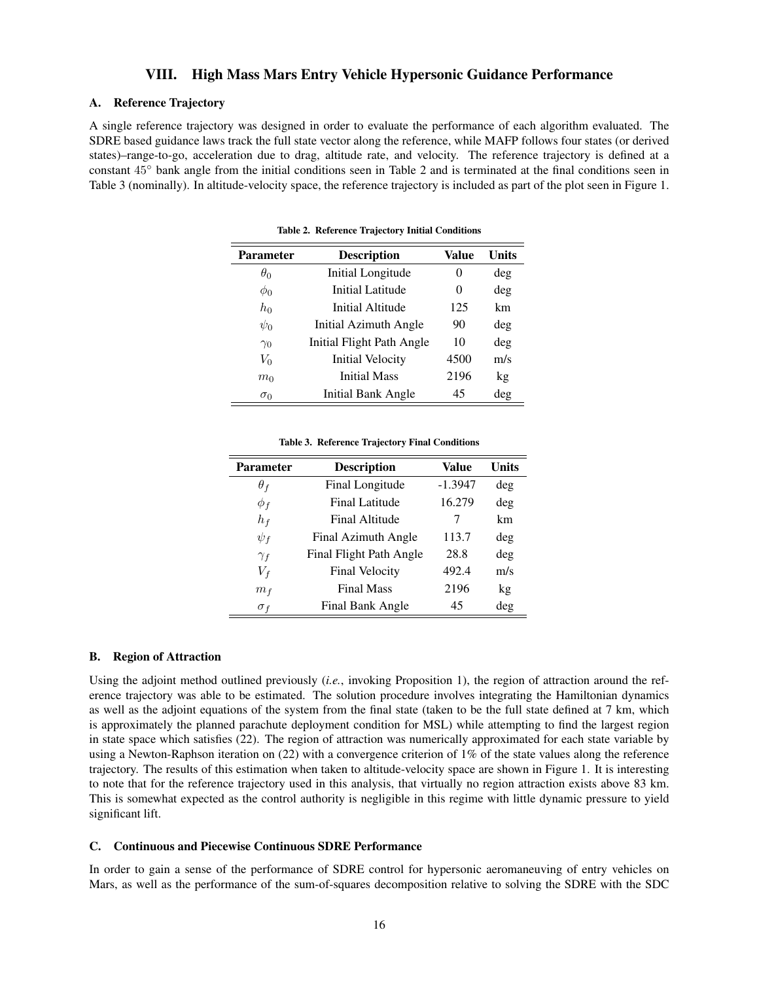## VIII. High Mass Mars Entry Vehicle Hypersonic Guidance Performance

## A. Reference Trajectory

A single reference trajectory was designed in order to evaluate the performance of each algorithm evaluated. The SDRE based guidance laws track the full state vector along the reference, while MAFP follows four states (or derived states)–range-to-go, acceleration due to drag, altitude rate, and velocity. The reference trajectory is defined at a constant 45◦ bank angle from the initial conditions seen in Table 2 and is terminated at the final conditions seen in Table 3 (nominally). In altitude-velocity space, the reference trajectory is included as part of the plot seen in Figure 1.

| <b>Parameter</b> | <b>Description</b>        | Value | Units |
|------------------|---------------------------|-------|-------|
| $\theta_0$       | Initial Longitude         | 0     | deg   |
| $\phi_0$         | Initial Latitude          | 0     | deg   |
| $h_0$            | Initial Altitude          | 125   | km    |
| $\psi_0$         | Initial Azimuth Angle     | 90    | deg   |
| $\gamma_0$       | Initial Flight Path Angle | 10    | deg   |
| $V_0$            | <b>Initial Velocity</b>   | 4500  | m/s   |
| m <sub>0</sub>   | <b>Initial Mass</b>       | 2196  | kg    |
| $\sigma_0$       | Initial Bank Angle        | 45    | deg   |

Table 2. Reference Trajectory Initial Conditions

#### Table 3. Reference Trajectory Final Conditions

| <b>Parameter</b> | <b>Description</b>      | Value     | Units |
|------------------|-------------------------|-----------|-------|
| $\theta_f$       | Final Longitude         | $-1.3947$ | deg   |
| $\phi_f$         | <b>Final Latitude</b>   | 16.279    | deg   |
| $h_f$            | Final Altitude          | 7         | km    |
| $\psi_f$         | Final Azimuth Angle     | 113.7     | deg   |
| $\gamma_f$       | Final Flight Path Angle | 28.8      | deg   |
| $V_f$            | <b>Final Velocity</b>   | 492.4     | m/s   |
| m <sub>f</sub>   | <b>Final Mass</b>       | 2196      | kg    |
| $\sigma_f$       | Final Bank Angle        | 45        | deg   |

#### B. Region of Attraction

Using the adjoint method outlined previously (*i.e.*, invoking Proposition 1), the region of attraction around the reference trajectory was able to be estimated. The solution procedure involves integrating the Hamiltonian dynamics as well as the adjoint equations of the system from the final state (taken to be the full state defined at 7 km, which is approximately the planned parachute deployment condition for MSL) while attempting to find the largest region in state space which satisfies (22). The region of attraction was numerically approximated for each state variable by using a Newton-Raphson iteration on (22) with a convergence criterion of 1% of the state values along the reference trajectory. The results of this estimation when taken to altitude-velocity space are shown in Figure 1. It is interesting to note that for the reference trajectory used in this analysis, that virtually no region attraction exists above 83 km. This is somewhat expected as the control authority is negligible in this regime with little dynamic pressure to yield significant lift.

#### C. Continuous and Piecewise Continuous SDRE Performance

In order to gain a sense of the performance of SDRE control for hypersonic aeromaneuving of entry vehicles on Mars, as well as the performance of the sum-of-squares decomposition relative to solving the SDRE with the SDC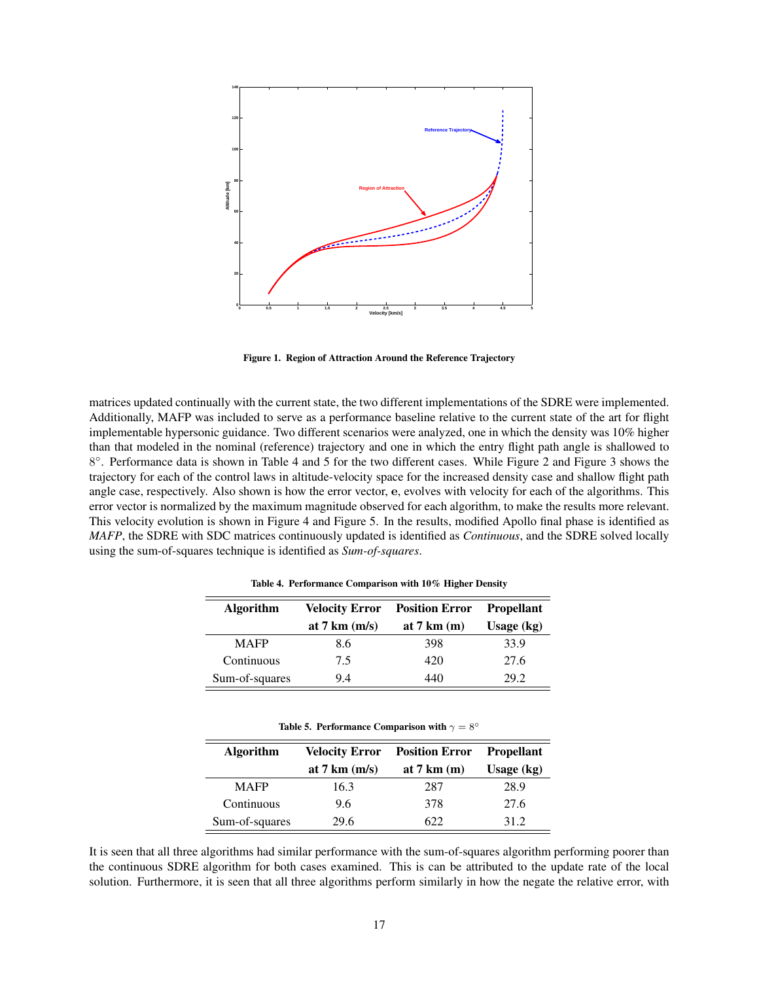

Figure 1. Region of Attraction Around the Reference Trajectory

matrices updated continually with the current state, the two different implementations of the SDRE were implemented. Additionally, MAFP was included to serve as a performance baseline relative to the current state of the art for flight implementable hypersonic guidance. Two different scenarios were analyzed, one in which the density was 10% higher than that modeled in the nominal (reference) trajectory and one in which the entry flight path angle is shallowed to 8°. Performance data is shown in Table 4 and 5 for the two different cases. While Figure 2 and Figure 3 shows the trajectory for each of the control laws in altitude-velocity space for the increased density case and shallow flight path angle case, respectively. Also shown is how the error vector, e, evolves with velocity for each of the algorithms. This error vector is normalized by the maximum magnitude observed for each algorithm, to make the results more relevant. This velocity evolution is shown in Figure 4 and Figure 5. In the results, modified Apollo final phase is identified as *MAFP*, the SDRE with SDC matrices continuously updated is identified as *Continuous*, and the SDRE solved locally using the sum-of-squares technique is identified as *Sum-of-squares*.

| <b>Algorithm</b> | <b>Velocity Error</b> | <b>Position Error</b>         | <b>Propellant</b> |
|------------------|-----------------------|-------------------------------|-------------------|
|                  | at 7 km $(m/s)$       | at $7 \text{ km} \text{ (m)}$ | Usage $(kg)$      |
| <b>MAFP</b>      | 8.6                   | 398                           | 33.9              |
| Continuous       | 7.5                   | 420                           | 27.6              |
| Sum-of-squares   | 9.4                   | 440                           | 29.2              |

Table 4. Performance Comparison with 10% Higher Density

|  | Table 5. Performance Comparison with $\gamma = 8^{\circ}$ |  |  |  |
|--|-----------------------------------------------------------|--|--|--|
|--|-----------------------------------------------------------|--|--|--|

| <b>Algorithm</b> | <b>Velocity Error</b> | <b>Position Error</b>         | <b>Propellant</b> |
|------------------|-----------------------|-------------------------------|-------------------|
|                  | at 7 km $(m/s)$       | at $7 \text{ km} \text{ (m)}$ | Usage $(kg)$      |
| <b>MAFP</b>      | 16.3                  | 287                           | 28.9              |
| Continuous       | 9.6                   | 378                           | 27.6              |
| Sum-of-squares   | 29.6                  | 622.                          | 31.2              |

It is seen that all three algorithms had similar performance with the sum-of-squares algorithm performing poorer than the continuous SDRE algorithm for both cases examined. This is can be attributed to the update rate of the local solution. Furthermore, it is seen that all three algorithms perform similarly in how the negate the relative error, with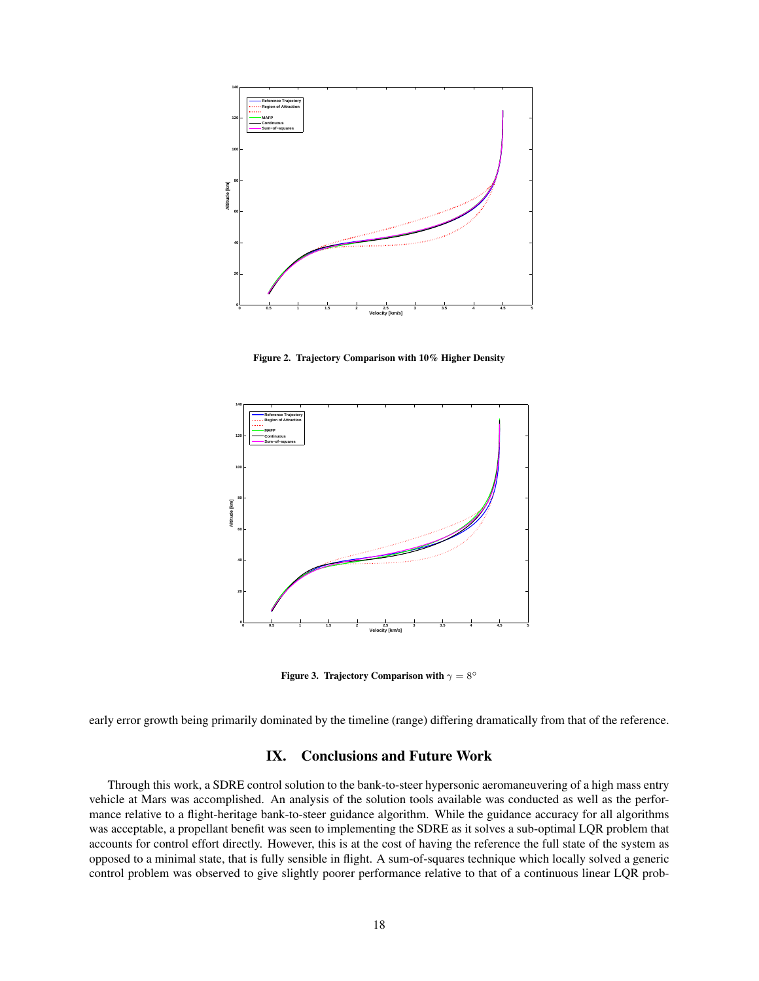

Figure 2. Trajectory Comparison with 10% Higher Density



Figure 3. Trajectory Comparison with  $\gamma = 8^\circ$ 

early error growth being primarily dominated by the timeline (range) differing dramatically from that of the reference.

# IX. Conclusions and Future Work

Through this work, a SDRE control solution to the bank-to-steer hypersonic aeromaneuvering of a high mass entry vehicle at Mars was accomplished. An analysis of the solution tools available was conducted as well as the performance relative to a flight-heritage bank-to-steer guidance algorithm. While the guidance accuracy for all algorithms was acceptable, a propellant benefit was seen to implementing the SDRE as it solves a sub-optimal LQR problem that accounts for control effort directly. However, this is at the cost of having the reference the full state of the system as opposed to a minimal state, that is fully sensible in flight. A sum-of-squares technique which locally solved a generic control problem was observed to give slightly poorer performance relative to that of a continuous linear LQR prob-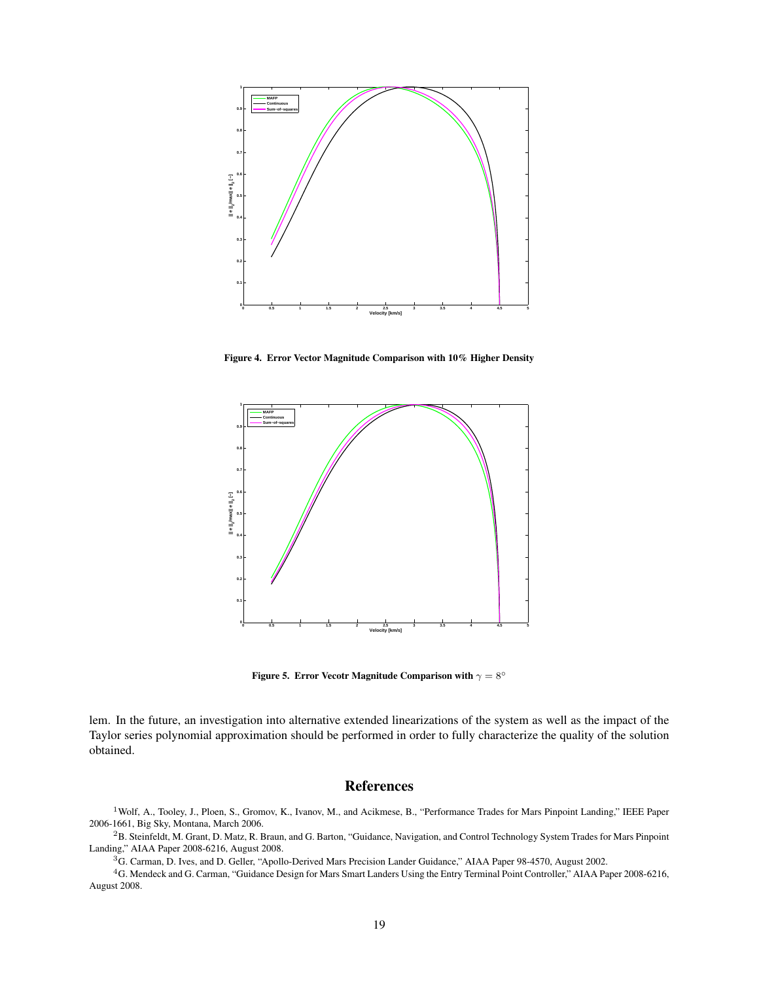

Figure 4. Error Vector Magnitude Comparison with 10% Higher Density



Figure 5. Error Vecotr Magnitude Comparison with  $\gamma = 8^\circ$ 

lem. In the future, an investigation into alternative extended linearizations of the system as well as the impact of the Taylor series polynomial approximation should be performed in order to fully characterize the quality of the solution obtained.

## References

<sup>1</sup> Wolf, A., Tooley, J., Ploen, S., Gromov, K., Ivanov, M., and Acikmese, B., "Performance Trades for Mars Pinpoint Landing," IEEE Paper 2006-1661, Big Sky, Montana, March 2006.

<sup>2</sup>B. Steinfeldt, M. Grant, D. Matz, R. Braun, and G. Barton, "Guidance, Navigation, and Control Technology System Trades for Mars Pinpoint Landing," AIAA Paper 2008-6216, August 2008.

<sup>3</sup>G. Carman, D. Ives, and D. Geller, "Apollo-Derived Mars Precision Lander Guidance," AIAA Paper 98-4570, August 2002.

<sup>4</sup>G. Mendeck and G. Carman, "Guidance Design for Mars Smart Landers Using the Entry Terminal Point Controller," AIAA Paper 2008-6216, August 2008.